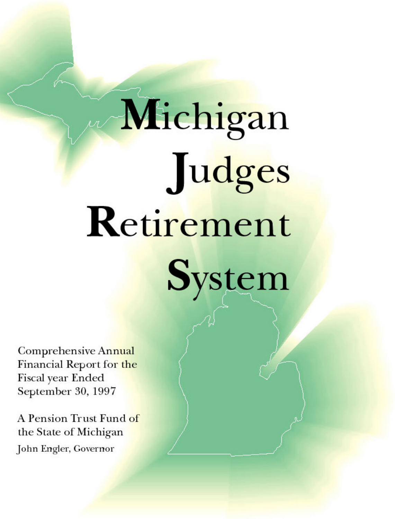# Michigan Judges Retirement

System

Comprehensive Annual Financial Report for the Fiscal year Ended September 30, 1997

A Pension Trust Fund of the State of Michigan John Engler, Governor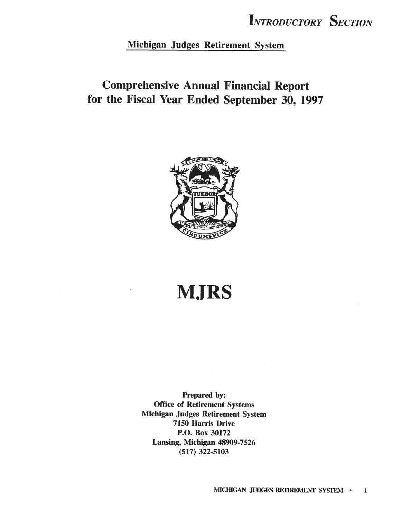Michigan Judges Retirement System

### **Comprehensive Annual Financial Report** for the Fiscal Year Ended September 30, 1997



# **MJRS**

Prepared by: **Office of Retirement Systems** Michigan Judges Retirement System 7150 Harris Drive P.O. Box 30172 Lansing, Michigan 48909-7526  $(517)$  322-5103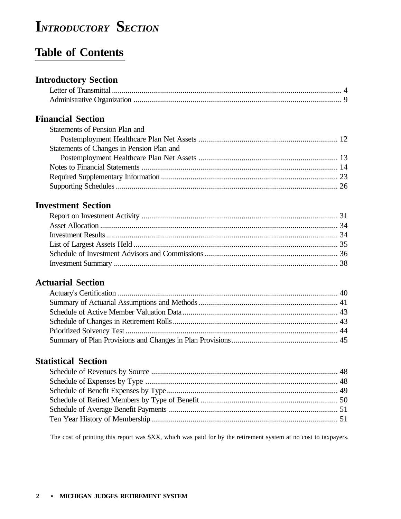### **Table of Contents**

### **Introductory Section**

### **Financial Section**

| Statements of Pension Plan and            |  |
|-------------------------------------------|--|
|                                           |  |
| Statements of Changes in Pension Plan and |  |
|                                           |  |
|                                           |  |
|                                           |  |
|                                           |  |

### **Investment Section**

### **Actuarial Section**

### **Statistical Section**

The cost of printing this report was \$XX, which was paid for by the retirement system at no cost to taxpayers.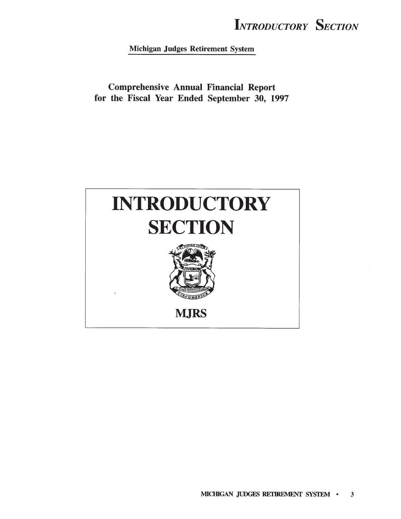Michigan Judges Retirement System

**Comprehensive Annual Financial Report** for the Fiscal Year Ended September 30, 1997

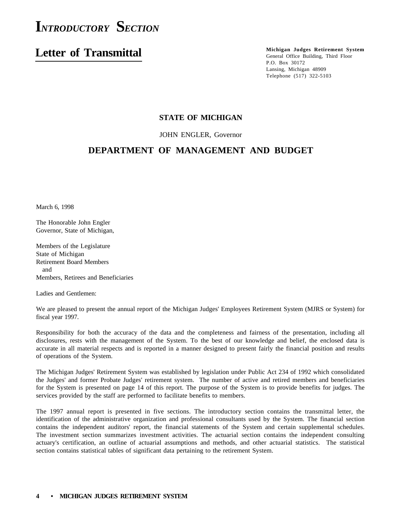### **Letter of Transmittal**

**Michigan Judges Retirement System** General Office Building, Third Floor P.O. Box 30172 Lansing, Michigan 48909 Telephone (517) 322-5103

### **STATE OF MICHIGAN**

JOHN ENGLER, Governor

### **DEPARTMENT OF MANAGEMENT AND BUDGET**

March 6, 1998

The Honorable John Engler Governor, State of Michigan,

Members of the Legislature State of Michigan Retirement Board Members and Members, Retirees and Beneficiaries

Ladies and Gentlemen:

We are pleased to present the annual report of the Michigan Judges' Employees Retirement System (MJRS or System) for fiscal year 1997.

Responsibility for both the accuracy of the data and the completeness and fairness of the presentation, including all disclosures, rests with the management of the System. To the best of our knowledge and belief, the enclosed data is accurate in all material respects and is reported in a manner designed to present fairly the financial position and results of operations of the System.

The Michigan Judges' Retirement System was established by legislation under Public Act 234 of 1992 which consolidated the Judges' and former Probate Judges' retirement system. The number of active and retired members and beneficiaries for the System is presented on page 14 of this report. The purpose of the System is to provide benefits for judges. The services provided by the staff are performed to facilitate benefits to members.

The 1997 annual report is presented in five sections. The introductory section contains the transmittal letter, the identification of the administrative organization and professional consultants used by the System. The financial section contains the independent auditors' report, the financial statements of the System and certain supplemental schedules. The investment section summarizes investment activities. The actuarial section contains the independent consulting actuary's certification, an outline of actuarial assumptions and methods, and other actuarial statistics. The statistical section contains statistical tables of significant data pertaining to the retirement System.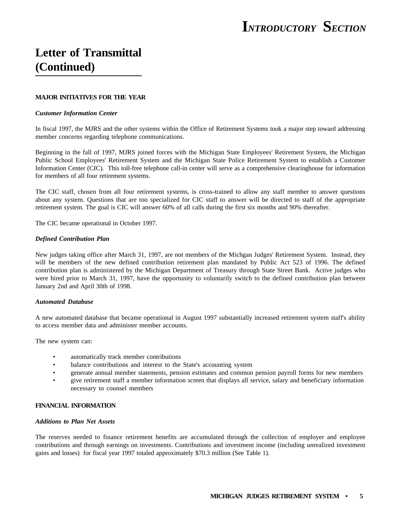### **Letter of Transmittal (Continued)**

### **MAJOR INITIATIVES FOR THE YEAR**

#### *Customer Information Center*

In fiscal 1997, the MJRS and the other systems within the Office of Retirement Systems took a major step toward addressing member concerns regarding telephone communications.

Beginning in the fall of 1997, MJRS joined forces with the Michigan State Employees' Retirement System, the Michigan Public School Employees' Retirement System and the Michigan State Police Retirement System to establish a Customer Information Center (CIC). This toll-free telephone call-in center will serve as a comprehensive clearinghouse for information for members of all four retirement systems.

The CIC staff, chosen from all four retirement systems, is cross-trained to allow any staff member to answer questions about any system. Questions that are too specialized for CIC staff to answer will be directed to staff of the appropriate retirement system. The goal is CIC will answer 60% of all calls during the first six months and 90% thereafter.

The CIC became operational in October 1997.

#### *Defined Contribution Plan*

New judges taking office after March 31, 1997, are not members of the Michgan Judges' Retirement System. Instead, they will be members of the new defined contribution retirement plan mandated by Public Act 523 of 1996. The defined contribution plan is administered by the Michigan Department of Treasury through State Street Bank. Active judges who were hired prior to March 31, 1997, have the opportunity to voluntarily switch to the defined contribution plan between January 2nd and April 30th of 1998.

### *Automated Database*

A new automated database that became operational in August 1997 substantially increased retirement system staff's ability to access member data and administer member accounts.

The new system can:

- automatically track member contributions
- balance contributions and interest to the State's accounting system
- generate annual member statements, pension estimates and common pension payroll forms for new members
- give retirement staff a member information screen that displays all service, salary and beneficiary information necessary to counsel members

#### **FINANCIAL INFORMATION**

#### *Additions to Plan Net Assets*

The reserves needed to finance retirement benefits are accumulated through the collection of employer and employee contributions and through earnings on investments. Contributions and investment income (including unrealized investment gains and losses) for fiscal year 1997 totaled approximately \$70.3 million (See Table 1).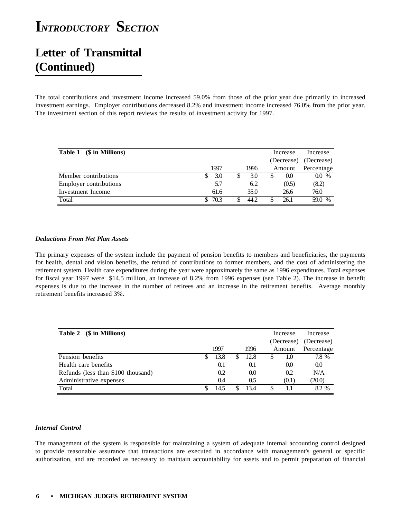### **Letter of Transmittal (Continued)**

The total contributions and investment income increased 59.0% from those of the prior year due primarily to increased investment earnings. Employer contributions decreased 8.2% and investment income increased 76.0% from the prior year. The investment section of this report reviews the results of investment activity for 1997.

| (\$ in Millions)<br>Table 1   |      |      | Increase   | Increase   |
|-------------------------------|------|------|------------|------------|
|                               |      |      | (Decrease) | (Decrease) |
|                               | 1997 | 1996 | Amount     | Percentage |
| Member contributions          | 3.0  | 3.0  | $($ .()    | 0.0 %      |
| <b>Employer contributions</b> | 5.7  | 6.2  | (0.5)      | (8.2)      |
| Investment Income             | 61.6 | 35.0 | 26.6       | 76.0       |
| Total                         | 70.3 | 44.2 | 26.1       | 59.0 %     |

### *Deductions From Net Plan Assets*

The primary expenses of the system include the payment of pension benefits to members and beneficiaries, the payments for health, dental and vision benefits, the refund of contributions to former members, and the cost of administering the retirement system. Health care expenditures during the year were approximately the same as 1996 expenditures. Total expenses for fiscal year 1997 were \$14.5 million, an increase of 8.2% from 1996 expenses (see Table 2). The increase in benefit expenses is due to the increase in the number of retirees and an increase in the retirement benefits. Average monthly retirement benefits increased 3%.

| Table 2 (\$ in Millions)           |   |      |      |    | Increase   | Increase   |
|------------------------------------|---|------|------|----|------------|------------|
|                                    |   |      |      |    | (Decrease) | (Decrease) |
|                                    |   | 1997 | 1996 |    | Amount     | Percentage |
| Pension benefits                   | S | 13.8 | 12.8 | \$ | 1.0        | 7.8 %      |
| Health care benefits               |   | 0.1  | 0.1  |    | 0.0        | 0.0        |
| Refunds (less than \$100 thousand) |   | 0.2  | 0.0  |    | 0.2        | N/A        |
| Administrative expenses            |   | 0.4  | 0.5  |    | (0.1)      | (20.0)     |
| Total                              | S | 14.5 | 13.4 | \$ |            | 8.2%       |

### *Internal Control*

The management of the system is responsible for maintaining a system of adequate internal accounting control designed to provide reasonable assurance that transactions are executed in accordance with management's general or specific authorization, and are recorded as necessary to maintain accountability for assets and to permit preparation of financial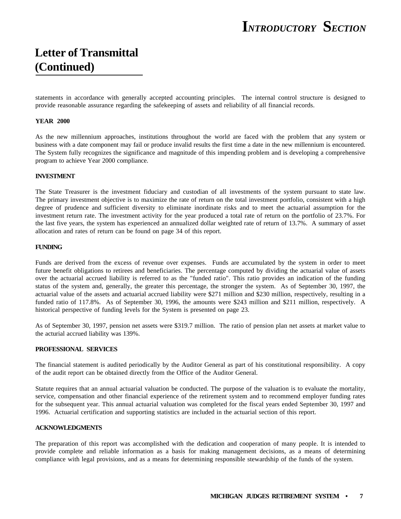### **Letter of Transmittal (Continued)**

statements in accordance with generally accepted accounting principles. The internal control structure is designed to provide reasonable assurance regarding the safekeeping of assets and reliability of all financial records.

### **YEAR 2000**

As the new millennium approaches, institutions throughout the world are faced with the problem that any system or business with a date component may fail or produce invalid results the first time a date in the new millennium is encountered. The System fully recognizes the significance and magnitude of this impending problem and is developing a comprehensive program to achieve Year 2000 compliance.

#### **INVESTMENT**

The State Treasurer is the investment fiduciary and custodian of all investments of the system pursuant to state law. The primary investment objective is to maximize the rate of return on the total investment portfolio, consistent with a high degree of prudence and sufficient diversity to eliminate inordinate risks and to meet the actuarial assumption for the investment return rate. The investment activity for the year produced a total rate of return on the portfolio of 23.7%. For the last five years, the system has experienced an annualized dollar weighted rate of return of 13.7%. A summary of asset allocation and rates of return can be found on page 34 of this report.

### **FUNDING**

Funds are derived from the excess of revenue over expenses. Funds are accumulated by the system in order to meet future benefit obligations to retirees and beneficiaries. The percentage computed by dividing the actuarial value of assets over the actuarial accrued liability is referred to as the "funded ratio". This ratio provides an indication of the funding status of the system and, generally, the greater this percentage, the stronger the system. As of September 30, 1997, the actuarial value of the assets and actuarial accrued liability were \$271 million and \$230 million, respectively, resulting in a funded ratio of 117.8%. As of September 30, 1996, the amounts were \$243 million and \$211 million, respectively. A historical perspective of funding levels for the System is presented on page 23.

As of September 30, 1997, pension net assets were \$319.7 million. The ratio of pension plan net assets at market value to the acturial accrued liability was 139%.

#### **PROFESSIONAL SERVICES**

The financial statement is audited periodically by the Auditor General as part of his constitutional responsibility. A copy of the audit report can be obtained directly from the Office of the Auditor General.

Statute requires that an annual actuarial valuation be conducted. The purpose of the valuation is to evaluate the mortality, service, compensation and other financial experience of the retirement system and to recommend employer funding rates for the subsequent year. This annual actuarial valuation was completed for the fiscal years ended September 30, 1997 and 1996. Actuarial certification and supporting statistics are included in the actuarial section of this report.

#### **ACKNOWLEDGMENTS**

The preparation of this report was accomplished with the dedication and cooperation of many people. It is intended to provide complete and reliable information as a basis for making management decisions, as a means of determining compliance with legal provisions, and as a means for determining responsible stewardship of the funds of the system.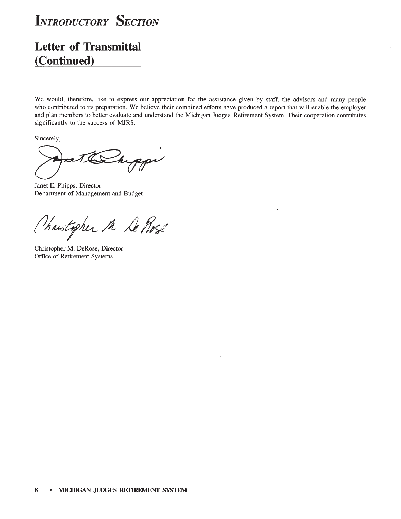

### **Letter of Transmittal** (Continued)

We would, therefore, like to express our appreciation for the assistance given by staff, the advisors and many people who contributed to its preparation. We believe their combined efforts have produced a report that will enable the employer and plan members to better evaluate and understand the Michigan Judges' Retirement System. Their cooperation contributes significantly to the success of MJRS.

Sincerely,

Ppr h

Janet E. Phipps, Director Department of Management and Budget

Chartopher M. De Prose

Christopher M. DeRose, Director Office of Retirement Systems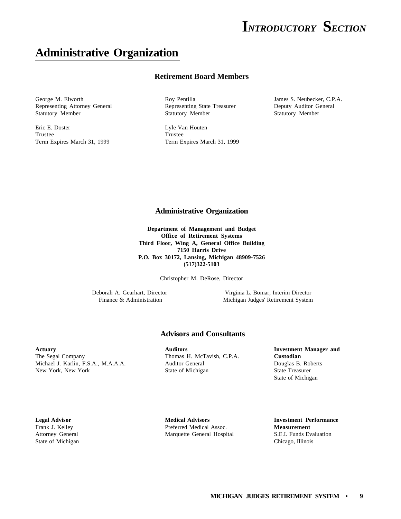### **Administrative Organization**

### **Retirement Board Members**

George M. Elworth **Roy Pentilla** Roy Pentilla James S. Neubecker, C.P.A. Representing Attorney General Representing State Treasurer Deputy Auditor General Statutory Member Statutory Member Statutory Member

Eric E. Doster Lyle Van Houten Trustee Trustee Trustee

Term Expires March 31, 1999 Term Expires March 31, 1999

### **Administrative Organization**

**Department of Management and Budget Office of Retirement Systems Third Floor, Wing A, General Office Building 7150 Harris Drive P.O. Box 30172, Lansing, Michigan 48909-7526 (517)322-5103**

Christopher M. DeRose, Director

Deborah A. Gearhart, Director Virginia L. Bomar, Interim Director Michigan Judges' Retirement System

### **Advisors and Consultants**

The Segal Company Thomas H. McTavish, C.P.A. **Custodian** Michael J. Karlin, F.S.A., M.A.A.A. Auditor General Douglas B. Roberts New York, New York State of Michigan State Treasurer

**Actuary Auditors Investment Manager and** State of Michigan

State of Michigan Chicago, Illinois

**Legal Advisor Medical Advisors Investment Performance** Frank J. Kelley Preferred Medical Assoc. **Measurement** Attorney General Marquette General Hospital S.E.I. Funds Evaluation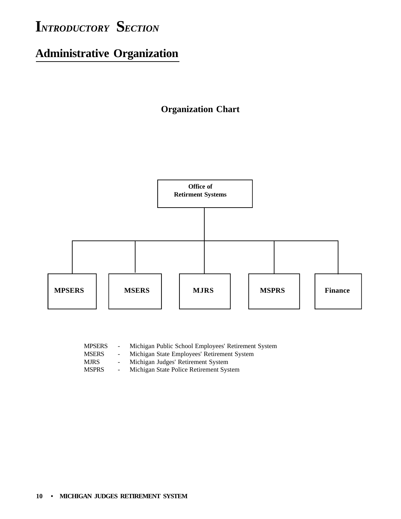# **Administrative Organization**

### **Organization Chart**



| $\sim$ 10 $\,$ | Michigan Public School Employees' Retirement System |
|----------------|-----------------------------------------------------|
|                | Michigan State Employees' Retirement System         |
|                | Michigan Judges' Retirement System                  |
|                | Michigan State Police Retirement System             |
|                |                                                     |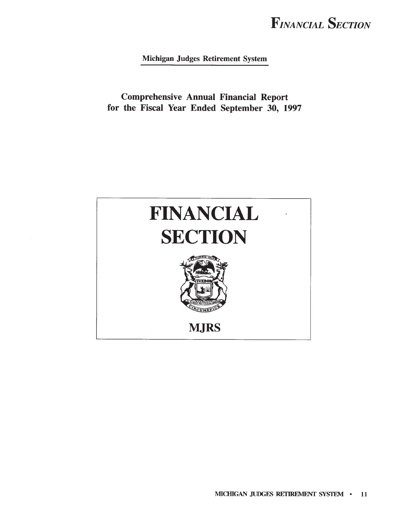Michigan Judges Retirement System

**Comprehensive Annual Financial Report** for the Fiscal Year Ended September 30, 1997

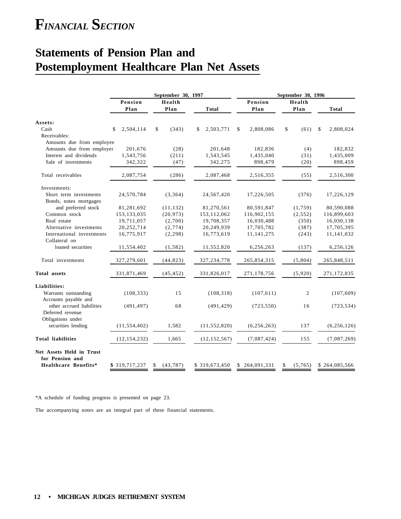### **Statements of Pension Plan and Postemployment Healthcare Plan Net Assets**

|                                                                       |                 | September 30, 1997 |                 | September 30, 1996 |                |                            |  |  |  |  |
|-----------------------------------------------------------------------|-----------------|--------------------|-----------------|--------------------|----------------|----------------------------|--|--|--|--|
|                                                                       | Pension<br>Plan | Health<br>Plan     | <b>Total</b>    | Pension<br>Plan    | Health<br>Plan | <b>Total</b>               |  |  |  |  |
| Assets:                                                               |                 |                    |                 |                    |                |                            |  |  |  |  |
| Cash                                                                  | 2,504,114<br>\$ | \$<br>(343)        | 2,503,771<br>\$ | 2,808,086<br>\$    | \$<br>(61)     | $\mathbf{\$}$<br>2,808,024 |  |  |  |  |
| Receivables:                                                          |                 |                    |                 |                    |                |                            |  |  |  |  |
| Amounts due from employee                                             |                 |                    |                 |                    |                |                            |  |  |  |  |
| Amounts due from employer                                             | 201,676         | (28)               | 201,648         | 182,836            | (4)            | 182,832                    |  |  |  |  |
| Interest and dividends                                                | 1,543,756       | (211)              | 1,543,545       | 1,435,040          | (31)           | 1,435,009                  |  |  |  |  |
| Sale of investments                                                   | 342,322         | (47)               | 342,275         | 898,479            | (20)           | 898,459                    |  |  |  |  |
| Total receivables                                                     | 2,087,754       | (286)              | 2,087,468       | 2,516,355          | (55)           | 2,516,300                  |  |  |  |  |
| Investments:                                                          |                 |                    |                 |                    |                |                            |  |  |  |  |
| Short term investments                                                | 24,570,784      | (3,364)            | 24,567,420      | 17,226,505         | (376)          | 17,226,129                 |  |  |  |  |
| Bonds, notes mortgages                                                |                 |                    |                 |                    |                |                            |  |  |  |  |
| and preferred stock                                                   | 81,281,692      | (11, 132)          | 81,270,561      | 80,591,847         | (1,759)        | 80,590,088                 |  |  |  |  |
| Common stock                                                          | 153, 133, 035   | (20, 973)          | 153,112,062     | 116,902,155        | (2, 552)       | 116,899,603                |  |  |  |  |
| Real estate                                                           | 19,711,057      | (2,700)            | 19,708,357      | 16,030,488         | (350)          | 16,030,138                 |  |  |  |  |
| Alternative investments                                               | 20,252,714      | (2, 774)           | 20,249,939      | 17,705,782         | (387)          | 17,705,395                 |  |  |  |  |
| International investments                                             | 16,775,917      | (2, 298)           | 16,773,619      | 11, 141, 275       | (243)          | 11,141,032                 |  |  |  |  |
| Collateral on                                                         |                 |                    |                 |                    |                |                            |  |  |  |  |
| loaned securities                                                     | 11,554,402      | (1, 582)           | 11,552,820      | 6,256,263          | (137)          | 6,256,126                  |  |  |  |  |
| Total investments                                                     | 327,279,601     | (44, 823)          | 327, 234, 778   | 265,854,315        | (5,804)        | 265,848,511                |  |  |  |  |
| Total assets                                                          | 331,871,469     | (45, 452)          | 331,826,017     | 271,178,756        | (5,920)        | 271,172,835                |  |  |  |  |
| Liabilities:                                                          |                 |                    |                 |                    |                |                            |  |  |  |  |
| Warrants outstanding                                                  | (108, 333)      | 15                 | (108, 318)      | (107, 611)         | 2              | (107, 609)                 |  |  |  |  |
| Accounts payable and<br>other accrued liabilities<br>Deferred revenue | (491, 497)      | 68                 | (491, 429)      | (723, 550)         | 16             | (723, 534)                 |  |  |  |  |
| Obligations under<br>securities lending                               | (11, 554, 402)  | 1,582              | (11, 552, 820)  | (6, 256, 263)      | 137            | (6, 256, 126)              |  |  |  |  |
|                                                                       |                 |                    |                 |                    |                |                            |  |  |  |  |
| <b>Total liabilities</b>                                              | (12, 154, 232)  | 1,665              | (12, 152, 567)  | (7,087,424)        | 155            | (7,087,269)                |  |  |  |  |
| Net Assets Held in Trust<br>for Pension and                           |                 |                    |                 |                    |                |                            |  |  |  |  |
| Healthcare Benefits*                                                  | \$319,717,237   | \$<br>(43, 787)    | \$319,673,450   | \$264,091,331      | \$<br>(5,765)  | \$264,085,566              |  |  |  |  |

\*A schedule of funding progress is presented on page 23.

The accompanying notes are an integral part of these financial statements.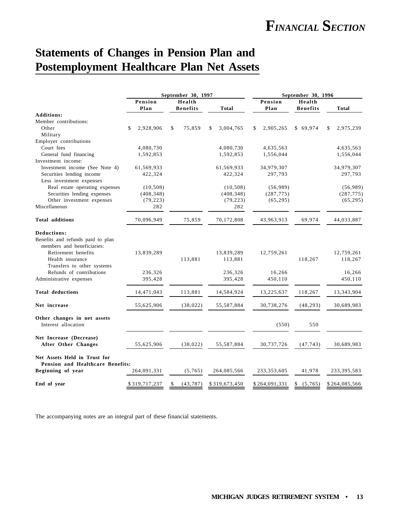### **Statements of Changes in Pension Plan and Postemployment Healthcare Plan Net Assets**

|                                                    | September 30, 1997 |             |    |                 |    | September 30, 1996 |    |               |                 |    |               |
|----------------------------------------------------|--------------------|-------------|----|-----------------|----|--------------------|----|---------------|-----------------|----|---------------|
|                                                    | Pension            |             |    | Health          |    |                    |    | Pension       | Health          |    |               |
|                                                    | Plan               |             |    | <b>Benefits</b> |    | <b>Total</b>       |    | Plan          | <b>Benefits</b> |    | <b>Total</b>  |
| <b>Additions:</b>                                  |                    |             |    |                 |    |                    |    |               |                 |    |               |
| Member contributions:                              |                    |             |    |                 |    |                    |    |               |                 |    |               |
| Other                                              | \$                 | 2,928,906   | \$ | 75,859          | \$ | 3,004,765          | \$ | 2,905,265     | \$69,974        | \$ | 2,975,239     |
| Military                                           |                    |             |    |                 |    |                    |    |               |                 |    |               |
| Employer contributions                             |                    |             |    |                 |    |                    |    |               |                 |    |               |
| Court fees                                         |                    | 4,080,730   |    |                 |    | 4,080,730          |    | 4,635,563     |                 |    | 4,635,563     |
| General fund financing                             |                    | 1,592,853   |    |                 |    | 1,592,853          |    | 1,556,044     |                 |    | 1,556,044     |
| Investment income:                                 |                    |             |    |                 |    |                    |    |               |                 |    |               |
| Investment income (See Note 4)                     |                    | 61,569,933  |    |                 |    | 61,569,933         |    | 34,979,307    |                 |    | 34,979,307    |
| Securities lending income                          |                    | 422,324     |    |                 |    | 422,324            |    | 297,793       |                 |    | 297,793       |
| Less investment expenses                           |                    |             |    |                 |    |                    |    |               |                 |    |               |
| Real estate operating expenses                     |                    | (10, 508)   |    |                 |    | (10, 508)          |    | (56,989)      |                 |    | (56,989)      |
| Securities lending expenses                        |                    | (408, 348)  |    |                 |    | (408, 348)         |    | (287, 775)    |                 |    | (287, 775)    |
| Other investment expenses                          |                    | (79, 223)   |    |                 |    | (79, 223)          |    | (65, 295)     |                 |    | (65, 295)     |
| Miscellaneous                                      |                    | 282         |    |                 |    | 282                |    |               |                 |    |               |
| <b>Total additions</b>                             |                    | 70.096.949  |    | 75.859          |    | 70,172,808         |    | 43,963,913    | 69,974          |    | 44.033.887    |
| <b>Deductions:</b>                                 |                    |             |    |                 |    |                    |    |               |                 |    |               |
| Benefits and refunds paid to plan                  |                    |             |    |                 |    |                    |    |               |                 |    |               |
| members and beneficiaries:                         |                    |             |    |                 |    |                    |    |               |                 |    |               |
| Retirement benefits                                |                    | 13,839,289  |    |                 |    | 13,839,289         |    | 12,759,261    |                 |    | 12,759,261    |
| Health insurance                                   |                    |             |    | 113,881         |    | 113,881            |    |               | 118,267         |    | 118,267       |
| Transfers to other systems                         |                    |             |    |                 |    |                    |    |               |                 |    |               |
| Refunds of contributions                           |                    | 236,326     |    |                 |    | 236,326            |    | 16,266        |                 |    | 16,266        |
| Administrative expenses                            |                    | 395,428     |    |                 |    | 395,428            |    | 450,110       |                 |    | 450,110       |
| <b>Total deductions</b>                            |                    | 14,471,043  |    | 113,881         |    | 14,584,924         |    | 13,225,637    | 118,267         |    | 13,343,904    |
| Net increase                                       |                    |             |    | (38, 022)       |    |                    |    |               |                 |    |               |
|                                                    |                    | 55,625,906  |    |                 |    | 55,587,884         |    | 30,738,276    | (48, 293)       |    | 30,689,983    |
| Other changes in net assets<br>Interest allocation |                    |             |    |                 |    |                    |    |               |                 |    |               |
|                                                    |                    |             |    |                 |    |                    |    | (550)         | 550             |    |               |
| Net Increase (Decrease)                            |                    |             |    |                 |    |                    |    |               |                 |    |               |
| After Other Changes                                |                    | 55,625,906  |    | (38, 022)       |    | 55,587,884         |    | 30,737,726    | (47, 743)       |    | 30,689,983    |
| Net Assets Held in Trust for                       |                    |             |    |                 |    |                    |    |               |                 |    |               |
| Pension and Healthcare Benefits:                   |                    |             |    |                 |    |                    |    |               |                 |    |               |
| Beginning of year                                  |                    | 264,091,331 |    | (5,765)         |    | 264,085,566        |    | 233, 353, 605 | 41,978          |    | 233, 395, 583 |
| End of year                                        | \$319,717,237      |             | \$ | (43, 787)       |    | \$319,673,450      |    | \$264,091,331 | \$<br>(5,765)   |    | \$264,085,566 |

The accompanying notes are an integral part of these financial statements.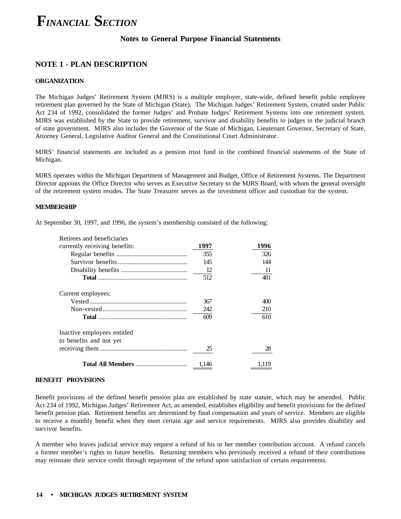### **Notes to General Purpose Financial Statements**

### **NOTE 1 - PLAN DESCRIPTION**

### **ORGANIZATION**

The Michigan Judges' Retirement System (MJRS) is a multiple employer, state-wide, defined benefit public employee retirement plan governed by the State of Michigan (State). The Michigan Judges' Retirement System, created under Public Act 234 of 1992, consolidated the former Judges' and Probate Judges' Retirement Systems into one retirement system. MJRS was established by the State to provide retirement, survivor and disability benefits to judges in the judicial branch of state government. MJRS also includes the Governor of the State of Michigan, Lieutenant Governor, Secretary of State, Attorney General, Legislative Auditor General and the Constitutional Court Administrator.

MJRS' financial statements are included as a pension trust fund in the combined financial statements of the State of Michigan.

MJRS operates within the Michigan Department of Management and Budget, Office of Retirement Systems. The Department Director appoints the Office Director who serves as Executive Secretary to the MJRS Board, with whom the general oversight of the retirement system resides. The State Treasurer serves as the investment officer and custodian for the system.

#### **MEMBERSHIP**

At September 30, 1997, and 1996, the system's membership consisted of the following:

| Retirees and beneficiaries                             |       |       |
|--------------------------------------------------------|-------|-------|
| currently receiving benefits:                          | 1997  | 1996  |
|                                                        | 355   | 326   |
|                                                        | 145   | 144   |
|                                                        | 12    | 11    |
|                                                        | 512   | 481   |
| Current employees:                                     |       |       |
|                                                        | 367   | 400   |
|                                                        | 242   | 210   |
|                                                        | 609   | 610   |
| Inactive employees entitled<br>to benefits and not yet |       |       |
|                                                        | 25    | 28    |
|                                                        | 1.146 | 1.119 |

### **BENEFIT PROVISIONS**

Benefit provisions of the defined benefit pension plan are established by state statute, which may be amended. Public Act 234 of 1992, Michigan Judges' Retirement Act, as amended, establishes eligibility and benefit provisions for the defined benefit pension plan. Retirement benefits are determined by final compensation and years of service. Members are eligible to receive a monthly benefit when they meet certain age and service requirements. MJRS also provides disability and survivor benefits.

A member who leaves judicial service may request a refund of his or her member contribution account. A refund cancels a former member's rights to future benefits. Returning members who previously received a refund of their contributions may reinstate their service credit through repayment of the refund upon satisfaction of certain requirements.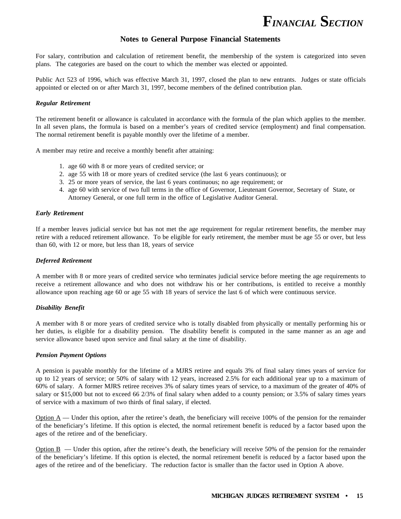

### **Notes to General Purpose Financial Statements**

For salary, contribution and calculation of retirement benefit, the membership of the system is categorized into seven plans. The categories are based on the court to which the member was elected or appointed.

Public Act 523 of 1996, which was effective March 31, 1997, closed the plan to new entrants. Judges or state officials appointed or elected on or after March 31, 1997, become members of the defined contribution plan.

#### *Regular Retirement*

The retirement benefit or allowance is calculated in accordance with the formula of the plan which applies to the member. In all seven plans, the formula is based on a member's years of credited service (employment) and final compensation. The normal retirement benefit is payable monthly over the lifetime of a member.

A member may retire and receive a monthly benefit after attaining:

- 1. age 60 with 8 or more years of credited service; or
- 2. age 55 with 18 or more years of credited service (the last 6 years continuous); or
- 3. 25 or more years of service, the last 6 years continuous; no age requirement; or
- 4. age 60 with service of two full terms in the office of Governor, Lieutenant Governor, Secretary of State, or Attorney General, or one full term in the office of Legislative Auditor General.

#### *Early Retirement*

If a member leaves judicial service but has not met the age requirement for regular retirement benefits, the member may retire with a reduced retirement allowance. To be eligible for early retirement, the member must be age 55 or over, but less than 60, with 12 or more, but less than 18, years of service

#### *Deferred Retirement*

A member with 8 or more years of credited service who terminates judicial service before meeting the age requirements to receive a retirement allowance and who does not withdraw his or her contributions, is entitled to receive a monthly allowance upon reaching age 60 or age 55 with 18 years of service the last 6 of which were continuous service.

#### *Disability Benefit*

A member with 8 or more years of credited service who is totally disabled from physically or mentally performing his or her duties, is eligible for a disability pension. The disability benefit is computed in the same manner as an age and service allowance based upon service and final salary at the time of disability.

#### *Pension Payment Options*

A pension is payable monthly for the lifetime of a MJRS retiree and equals 3% of final salary times years of service for up to 12 years of service; or 50% of salary with 12 years, increased 2.5% for each additional year up to a maximum of 60% of salary. A former MJRS retiree receives 3% of salary times years of service, to a maximum of the greater of 40% of salary or \$15,000 but not to exceed 66 2/3% of final salary when added to a county pension; or 3.5% of salary times years of service with a maximum of two thirds of final salary, if elected.

Option  $A$  — Under this option, after the retiree's death, the beneficiary will receive 100% of the pension for the remainder of the beneficiary's lifetime. If this option is elected, the normal retirement benefit is reduced by a factor based upon the ages of the retiree and of the beneficiary.

 $Option B$  — Under this option, after the retiree's death, the beneficiary will receive 50% of the pension for the remainder of the beneficiary's lifetime. If this option is elected, the normal retirement benefit is reduced by a factor based upon the ages of the retiree and of the beneficiary. The reduction factor is smaller than the factor used in Option A above.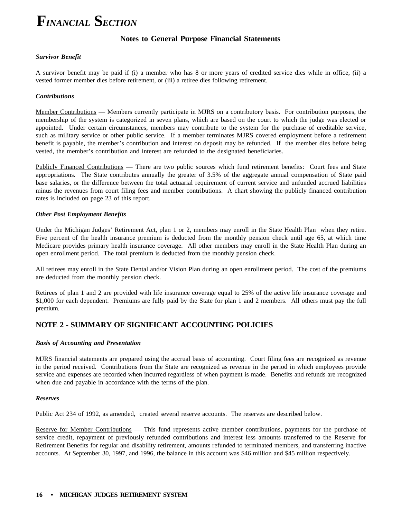### **Notes to General Purpose Financial Statements**

#### *Survivor Benefit*

A survivor benefit may be paid if (i) a member who has 8 or more years of credited service dies while in office, (ii) a vested former member dies before retirement, or (iii) a retiree dies following retirement.

### *Contributions*

Member Contributions — Members currently participate in MJRS on a contributory basis. For contribution purposes, the membership of the system is categorized in seven plans, which are based on the court to which the judge was elected or appointed. Under certain circumstances, members may contribute to the system for the purchase of creditable service, such as military service or other public service. If a member terminates MJRS covered employment before a retirement benefit is payable, the member's contribution and interest on deposit may be refunded. If the member dies before being vested, the member's contribution and interest are refunded to the designated beneficiaries.

Publicly Financed Contributions — There are two public sources which fund retirement benefits: Court fees and State appropriations. The State contributes annually the greater of 3.5% of the aggregate annual compensation of State paid base salaries, or the difference between the total actuarial requirement of current service and unfunded accrued liabilities minus the revenues from court filing fees and member contributions. A chart showing the publicly financed contribution rates is included on page 23 of this report.

### *Other Post Employment Benefits*

Under the Michigan Judges' Retirement Act, plan 1 or 2, members may enroll in the State Health Plan when they retire. Five percent of the health insurance premium is deducted from the monthly pension check until age 65, at which time Medicare provides primary health insurance coverage. All other members may enroll in the State Health Plan during an open enrollment period. The total premium is deducted from the monthly pension check.

All retirees may enroll in the State Dental and/or Vision Plan during an open enrollment period. The cost of the premiums are deducted from the monthly pension check.

Retirees of plan 1 and 2 are provided with life insurance coverage equal to 25% of the active life insurance coverage and \$1,000 for each dependent. Premiums are fully paid by the State for plan 1 and 2 members. All others must pay the full premium.

### **NOTE 2 - SUMMARY OF SIGNIFICANT ACCOUNTING POLICIES**

#### *Basis of Accounting and Presentation*

MJRS financial statements are prepared using the accrual basis of accounting. Court filing fees are recognized as revenue in the period received. Contributions from the State are recognized as revenue in the period in which employees provide service and expenses are recorded when incurred regardless of when payment is made. Benefits and refunds are recognized when due and payable in accordance with the terms of the plan.

#### *Reserves*

Public Act 234 of 1992, as amended, created several reserve accounts. The reserves are described below.

Reserve for Member Contributions — This fund represents active member contributions, payments for the purchase of service credit, repayment of previously refunded contributions and interest less amounts transferred to the Reserve for Retirement Benefits for regular and disability retirement, amounts refunded to terminated members, and transferring inactive accounts. At September 30, 1997, and 1996, the balance in this account was \$46 million and \$45 million respectively.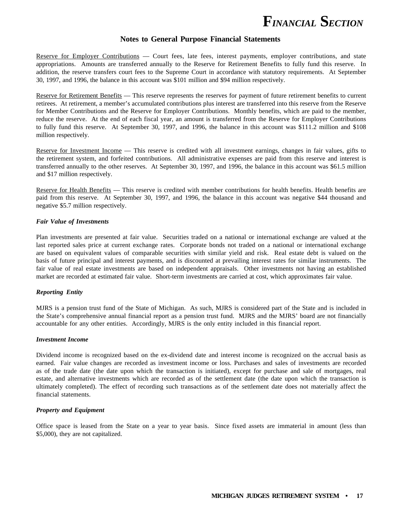

### **Notes to General Purpose Financial Statements**

Reserve for Employer Contributions — Court fees, late fees, interest payments, employer contributions, and state appropriations. Amounts are transferred annually to the Reserve for Retirement Benefits to fully fund this reserve. In addition, the reserve transfers court fees to the Supreme Court in accordance with statutory requirements. At September 30, 1997, and 1996, the balance in this account was \$101 million and \$94 million respectively.

Reserve for Retirement Benefits — This reserve represents the reserves for payment of future retirement benefits to current retirees. At retirement, a member's accumulated contributions plus interest are transferred into this reserve from the Reserve for Member Contributions and the Reserve for Employer Contributions. Monthly benefits, which are paid to the member, reduce the reserve.At the end of each fiscal year, an amount is transferred from the Reserve for Employer Contributions to fully fund this reserve. At September 30, 1997, and 1996, the balance in this account was \$111.2 million and \$108 million respectively.

Reserve for Investment Income — This reserve is credited with all investment earnings, changes in fair values, gifts to the retirement system, and forfeited contributions. All administrative expenses are paid from this reserve and interest is transferred annually to the other reserves. At September 30, 1997, and 1996, the balance in this account was \$61.5 million and \$17 million respectively.

Reserve for Health Benefits — This reserve is credited with member contributions for health benefits. Health benefits are paid from this reserve. At September 30, 1997, and 1996, the balance in this account was negative \$44 thousand and negative \$5.7 million respectively.

#### *Fair Value of Investments*

Plan investments are presented at fair value. Securities traded on a national or international exchange are valued at the last reported sales price at current exchange rates. Corporate bonds not traded on a national or international exchange are based on equivalent values of comparable securities with similar yield and risk. Real estate debt is valued on the basis of future principal and interest payments, and is discounted at prevailing interest rates for similar instruments. The fair value of real estate investments are based on independent appraisals. Other investments not having an established market are recorded at estimated fair value. Short-term investments are carried at cost, which approximates fair value.

#### *Reporting Entity*

MJRS is a pension trust fund of the State of Michigan. As such, MJRS is considered part of the State and is included in the State's comprehensive annual financial report as a pension trust fund. MJRS and the MJRS' board are not financially accountable for any other entities. Accordingly, MJRS is the only entity included in this financial report.

### *Investment Income*

Dividend income is recognized based on the ex-dividend date and interest income is recognized on the accrual basis as earned. Fair value changes are recorded as investment income or loss. Purchases and sales of investments are recorded as of the trade date (the date upon which the transaction is initiated), except for purchase and sale of mortgages, real estate, and alternative investments which are recorded as of the settlement date (the date upon which the transaction is ultimately completed). The effect of recording such transactions as of the settlement date does not materially affect the financial statements.

#### *Property and Equipment*

Office space is leased from the State on a year to year basis. Since fixed assets are immaterial in amount (less than \$5,000), they are not capitalized.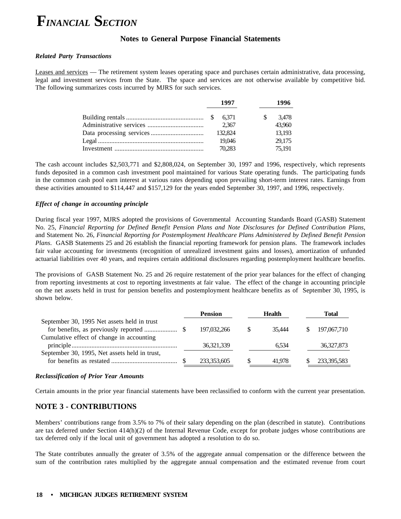### **Notes to General Purpose Financial Statements**

### *Related Party Transactions*

Leases and services — The retirement system leases operating space and purchases certain administrative, data processing, legal and investment services from the State. The space and services are not otherwise available by competitive bid. The following summarizes costs incurred by MJRS for such services.

| 1997    |    | 1996   |
|---------|----|--------|
|         | S. | 3.478  |
| 2.367   |    | 43,960 |
| 132.824 |    | 13.193 |
| 19.046  |    | 29.175 |
| 70.283  |    | 75.191 |

The cash account includes \$2,503,771 and \$2,808,024, on September 30, 1997 and 1996, respectively, which represents funds deposited in a common cash investment pool maintained for various State operating funds. The participating funds in the common cash pool earn interest at various rates depending upon prevailing short-term interest rates. Earnings from these activities amounted to \$114,447 and \$157,129 for the years ended September 30, 1997, and 1996, respectively.

### *Effect of change in accounting principle*

During fiscal year 1997, MJRS adopted the provisions of Governmental Accounting Standards Board (GASB) Statement No. 25, *Financial Reporting for Defined Benefit Pension Plans and Note Disclosures for Defined Contribution Plans*, and Statement No. 26, *Financial Reporting for Postemployment Healthcare Plans Administered by Defined Benefit Pension Plans*. GASB Statements 25 and 26 establish the financial reporting framework for pension plans. The framework includes fair value accounting for investments (recognition of unrealized investment gains and losses), amortization of unfunded actuarial liabilities over 40 years, and requires certain additional disclosures regarding postemployment healthcare benefits.

The provisions of GASB Statement No. 25 and 26 require restatement of the prior year balances for the effect of changing from reporting investments at cost to reporting investments at fair value. The effect of the change in accounting principle on the net assets held in trust for pension benefits and postemployment healthcare benefits as of September 30, 1995, is shown below.

|                                               | <b>Pension</b> |    | <b>Health</b> | Total        |
|-----------------------------------------------|----------------|----|---------------|--------------|
| September 30, 1995 Net assets held in trust   | 197,032,266    | -S | 35.444        | 197,067,710  |
| Cumulative effect of change in accounting     | 36, 321, 339   |    | 6.534         | 36, 327, 873 |
| September 30, 1995, Net assets held in trust, | 233,353,605    |    | 41.978        | 233,395,583  |

#### *Reclassification of Prior Year Amounts*

Certain amounts in the prior year financial statements have been reclassified to conform with the current year presentation.

### **NOTE 3 - CONTRIBUTIONS**

Members' contributions range from 3.5% to 7% of their salary depending on the plan (described in statute). Contributions are tax deferred under Section  $414(h)(2)$  of the Internal Revenue Code, except for probate judges whose contributions are tax deferred only if the local unit of government has adopted a resolution to do so.

The State contributes annually the greater of 3.5% of the aggregate annual compensation or the difference between the sum of the contribution rates multiplied by the aggregate annual compensation and the estimated revenue from court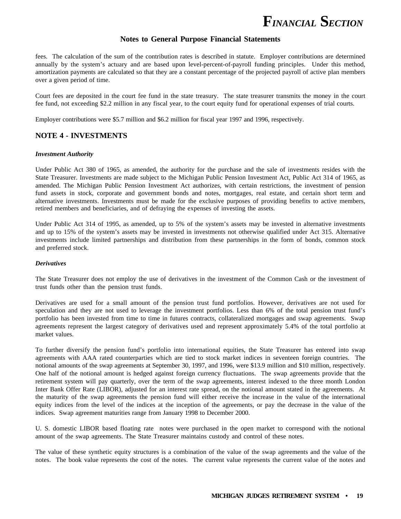

### **Notes to General Purpose Financial Statements**

fees. The calculation of the sum of the contribution rates is described in statute. Employer contributions are determined annually by the system's actuary and are based upon level-percent-of-payroll funding principles. Under this method, amortization payments are calculated so that they are a constant percentage of the projected payroll of active plan members over a given period of time.

Court fees are deposited in the court fee fund in the state treasury. The state treasurer transmits the money in the court fee fund, not exceeding \$2.2 million in any fiscal year, to the court equity fund for operational expenses of trial courts.

Employer contributions were \$5.7 million and \$6.2 million for fiscal year 1997 and 1996, respectively.

### **NOTE 4 - INVESTMENTS**

#### *Investment Authority*

retired members and beneficiaries, and of defraying the expenses of investing the assets. Under Public Act 380 of 1965, as amended, the authority for the purchase and the sale of investments resides with the State Treasurer. Investments are made subject to the Michigan Public Pension Investment Act, Public Act 314 of 1965, as amended. The Michigan Public Pension Investment Act authorizes, with certain restrictions, the investment of pension fund assets in stock, corporate and government bonds and notes, mortgages, real estate, and certain short term and alternative investments. Investments must be made for the exclusive purposes of providing benefits to active members,

Under Public Act 314 of 1995, as amended, up to 5% of the system's assets may be invested in alternative investments and up to 15% of the system's assets may be invested in investments not otherwise qualified under Act 315. Alternative investments include limited partnerships and distribution from these partnerships in the form of bonds, common stock and preferred stock.

### *Derivatives*

The State Treasurer does not employ the use of derivatives in the investment of the Common Cash or the investment of trust funds other than the pension trust funds.

Derivatives are used for a small amount of the pension trust fund portfolios. However, derivatives are not used for speculation and they are not used to leverage the investment portfolios. Less than 6% of the total pension trust fund's portfolio has been invested from time to time in futures contracts, collateralized mortgages and swap agreements. Swap agreements represent the largest category of derivatives used and represent approximately 5.4% of the total portfolio at market values.

To further diversify the pension fund's portfolio into international equities, the State Treasurer has entered into swap agreements with AAA rated counterparties which are tied to stock market indices in seventeen foreign countries. The notional amounts of the swap agreements at September 30, 1997, and 1996, were \$13.9 million and \$10 million, respectively. One half of the notional amount is hedged against foreign currency fluctuations. The swap agreements provide that the retirement system will pay quarterly, over the term of the swap agreements, interest indexed to the three month London Inter Bank Offer Rate (LIBOR), adjusted for an interest rate spread, on the notional amount stated in the agreements. At the maturity of the swap agreements the pension fund will either receive the increase in the value of the international equity indices from the level of the indices at the inception of the agreements, or pay the decrease in the value of the indices. Swap agreement maturities range from January 1998 to December 2000.

U. S. domestic LIBOR based floating rate notes were purchased in the open market to correspond with the notional amount of the swap agreements. The State Treasurer maintains custody and control of these notes.

The value of these synthetic equity structures is a combination of the value of the swap agreements and the value of the notes. The book value represents the cost of the notes. The current value represents the current value of the notes and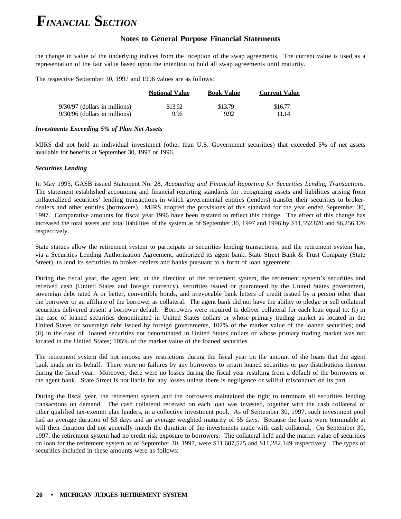### **Notes to General Purpose Financial Statements**

the change in value of the underlying indices from the inception of the swap agreements. The current value is used as a representation of the fair value based upon the intention to hold all swap agreements until maturity.

The respective September 30, 1997 and 1996 values are as follows:

|                               | <b>Notional Value</b> | <b>Book Value</b> | <b>Current Value</b> |
|-------------------------------|-----------------------|-------------------|----------------------|
| 9/30/97 (dollars in millions) | \$13.92               | \$13.79           | \$16.77              |
| 9/30/96 (dollars in millions) | 9.96                  | 9.92              | 11.14                |

### *Investments Exceeding 5% of Plan Net Assets*

MJRS did not hold an individual investment (other than U.S. Government securities) that exceeded 5% of net assets available for benefits at September 30, 1997 or 1996.

### *Securities Lending*

In May 1995, GASB issued Statement No. 28, *Accounting and Financial Reporting for Securities Lending Transactions.* The statement established accounting and financial reporting standards for recognizing assets and liabilities arising from collateralized securities' lending transactions in which governmental entities (lenders) transfer their securities to brokerdealers and other entities (borrowers). MJRS adopted the provisions of this standard for the year ended September 30, 1997. Comparative amounts for fiscal year 1996 have been restated to reflect this change. The effect of this change has increased the total assets and total liabilities of the system as of September 30, 1997 and 1996 by \$11,552,820 and \$6,256,126 respectively.

State statues allow the retirement system to participate in securities lending transactions, and the retirement system has, via a Securities Lending Authorization Agreement, authorized its agent bank, State Street Bank & Trust Company (State Street), to lend its securities to broker-dealers and banks pursuant to a form of loan agreement.

During the fiscal year, the agent lent, at the direction of the retirement system, the retirement system's securities and received cash (United States and foreign currency), securities issued or guaranteed by the United States government, sovereign debt rated A or better, convertible bonds, and irrevocable bank letters of credit issued by a person other than the borrower or an affiliate of the borrower as collateral. The agent bank did not have the ability to pledge or sell collateral securities delivered absent a borrower default. Borrowers were required to deliver collateral for each loan equal to: (i) in the case of loaned securities denominated in United States dollars or whose primary trading market as located in the United States or sovereign debt issued by foreign governments, 102% of the market value of the loaned securities; and (ii) in the case of loaned securities not denominated in United States dollars or whose primary trading market was not located in the United States; 105% of the market value of the loaned securities.

The retirement system did not impose any restrictions during the fiscal year on the amount of the loans that the agent bank made on its behalf. There were no failures by any borrowers to return loaned securities or pay distributions thereon during the fiscal year. Moreover, there were no losses during the fiscal year resulting from a default of the borrowers or the agent bank. State Street is not liable for any losses unless there is negligence or willful misconduct on its part.

During the fiscal year, the retirement system and the borrowers maintained the right to terminate all securities lending transactions on demand. The cash collateral received on each loan was invested, together with the cash collateral of other qualified tax-exempt plan lenders, in a collective investment pool. As of September 30, 1997, such investment pool had an average duration of 53 days and an average weighted maturity of 55 days. Because the loans were terminable at will their duration did not generally match the duration of the investments made with cash collateral. On September 30, 1997, the retirement system had no credit risk exposure to borrowers. The collateral held and the market value of securities on loan for the retirement system as of September 30, 1997, were \$11,607,525 and \$11,282,149 respectively. The types of securities included in these amounts were as follows: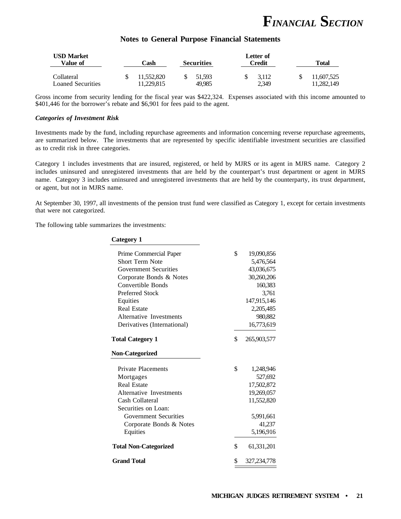

### **Notes to General Purpose Financial Statements**

| <b>USD Market</b><br>Value of          | `ash                    | <b>Securities</b> | Letter of<br>Credit | Total                    |
|----------------------------------------|-------------------------|-------------------|---------------------|--------------------------|
| Collateral<br><b>Loaned Securities</b> | 11.552.820<br>1.229.815 | 51.593<br>49.985  | 3.112<br>2,349      | 11.607.525<br>11.282.149 |

Gross income from security lending for the fiscal year was \$422,324. Expenses associated with this income amounted to \$401,446 for the borrower's rebate and \$6,901 for fees paid to the agent.

#### *Categories of Investment Risk*

Investments made by the fund, including repurchase agreements and information concerning reverse repurchase agreements, are summarized below. The investments that are represented by specific identifiable investment securities are classified as to credit risk in three categories.

Category 1 includes investments that are insured, registered, or held by MJRS or its agent in MJRS name. Category 2 includes uninsured and unregistered investments that are held by the counterpart's trust department or agent in MJRS name. Category 3 includes uninsured and unregistered investments that are held by the counterparty, its trust department, or agent, but not in MJRS name.

At September 30, 1997, all investments of the pension trust fund were classified as Category 1, except for certain investments that were not categorized.

The following table summarizes the investments:

| <b>Category 1</b>            |                     |
|------------------------------|---------------------|
| Prime Commercial Paper       | \$<br>19,090,856    |
| <b>Short Term Note</b>       | 5,476,564           |
| <b>Government Securities</b> | 43,036,675          |
| Corporate Bonds & Notes      | 30,260,206          |
| Convertible Bonds            | 160,383             |
| <b>Preferred Stock</b>       | 3,761               |
| Equities                     | 147,915,146         |
| <b>Real Estate</b>           | 2,205,485           |
| Alternative Investments      | 980,882             |
| Derivatives (International)  | 16,773,619          |
| <b>Total Category 1</b>      | \$<br>265,903,577   |
| <b>Non-Categorized</b>       |                     |
| <b>Private Placements</b>    | \$<br>1,248,946     |
| Mortgages                    | 527,692             |
| <b>Real Estate</b>           | 17,502,872          |
| Alternative Investments      | 19,269,057          |
| Cash Collateral              | 11,552,820          |
| Securities on Loan:          |                     |
| <b>Government Securities</b> | 5,991,661           |
| Corporate Bonds & Notes      | 41,237              |
| Equities                     | 5,196,916           |
| <b>Total Non-Categorized</b> | \$<br>61,331,201    |
| <b>Grand Total</b>           | \$<br>327, 234, 778 |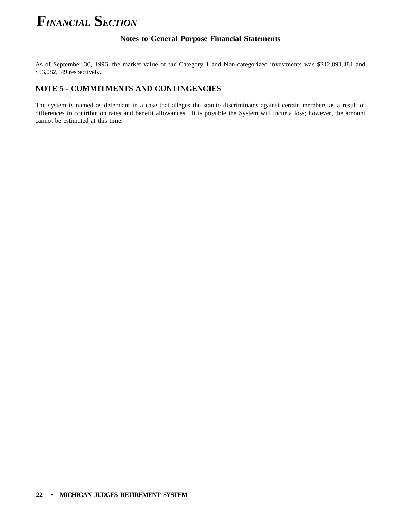### **Notes to General Purpose Financial Statements**

As of September 30, 1996, the market value of the Category 1 and Non-categorized investments was \$212,891,481 and \$53,082,549 respectively.

### **NOTE 5 - COMMITMENTS AND CONTINGENCIES**

The system is named as defendant in a case that alleges the statute discriminates against certain members as a result of differences in contribution rates and benefit allowances. It is possible the System will incur a loss; however, the amount cannot be estimated at this time.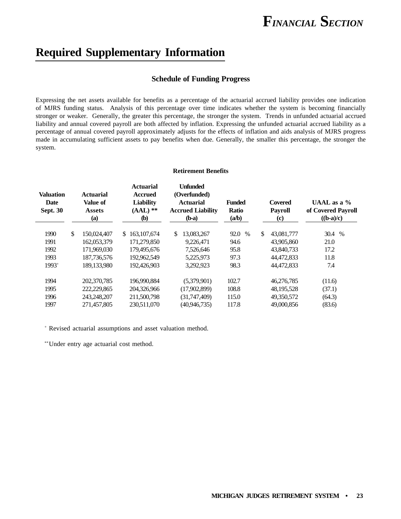### **Required Supplementary Information**

### **Schedule of Funding Progress**

Expressing the net assets available for benefits as a percentage of the actuarial accrued liability provides one indication of MJRS funding status. Analysis of this percentage over time indicates whether the system is becoming financially stronger or weaker. Generally, the greater this percentage, the stronger the system. Trends in unfunded actuarial accrued liability and annual covered payroll are both affected by inflation. Expressing the unfunded actuarial accrued liability as a percentage of annual covered payroll approximately adjusts for the effects of inflation and aids analysis of MJRS progress made in accumulating sufficient assets to pay benefits when due. Generally, the smaller this percentage, the stronger the system.

#### **Retirement Benefits**

| <b>Valuation</b><br>Date<br><b>Sept. 30</b> | <b>Actuarial</b><br><b>Value of</b><br><b>Assets</b><br>(a) | <b>Actuarial</b><br><b>Accrued</b><br><b>Liability</b><br>$(AAL)$ **<br><b>(b)</b> | <b>Unfunded</b><br>(Overfunded)<br><b>Actuarial</b><br><b>Accrued Liability</b><br>$(b-a)$ | <b>Funded</b><br><b>Covered</b><br><b>Ratio</b><br><b>Payroll</b><br>(a/b)<br>$\left( \mathbf{c} \right)$ |    |              | UAAL as a $\%$<br>of Covered Payroll<br>$((b-a)/c)$ |  |
|---------------------------------------------|-------------------------------------------------------------|------------------------------------------------------------------------------------|--------------------------------------------------------------------------------------------|-----------------------------------------------------------------------------------------------------------|----|--------------|-----------------------------------------------------|--|
| 1990                                        | \$<br>150,024,407                                           | 163, 107, 674<br>\$                                                                | \$<br>13,083,267                                                                           | 92.0<br>$\%$                                                                                              | \$ | 43,081,777   | 30.4 %                                              |  |
| 1991                                        | 162,053,379                                                 | 171.279.850                                                                        | 9,226,471                                                                                  | 94.6                                                                                                      |    | 43,905,860   | 21.0                                                |  |
| 1992                                        | 171.969.030                                                 | 179,495,676                                                                        | 7,526,646                                                                                  | 95.8                                                                                                      |    | 43,840,733   | 17.2                                                |  |
| 1993                                        | 187,736,576                                                 | 192,962,549                                                                        | 5.225.973                                                                                  | 97.3                                                                                                      |    | 44.472.833   | 11.8                                                |  |
| $1993+$                                     | 189,133,980                                                 | 192,426,903                                                                        | 3,292,923                                                                                  | 98.3                                                                                                      |    | 44,472,833   | 7.4                                                 |  |
| 1994                                        | 202,370,785                                                 | 196,990,884                                                                        | (5,379,901)                                                                                | 102.7                                                                                                     |    | 46,276,785   | (11.6)                                              |  |
| 1995                                        | 222,229,865                                                 | 204,326,966                                                                        | (17,902,899)                                                                               | 108.8                                                                                                     |    | 48, 195, 528 | (37.1)                                              |  |
| 1996                                        | 243,248,207                                                 | 211,500,798                                                                        | (31,747,409)                                                                               | 115.0                                                                                                     |    | 49,350,572   | (64.3)                                              |  |
| 1997                                        | 271,457,805                                                 | 230,511,070                                                                        | (40, 946, 735)                                                                             | 117.8                                                                                                     |    | 49,000,856   | (83.6)                                              |  |

<sup>+</sup> Revised actuarial assumptions and asset valuation method.

\*\*Under entry age actuarial cost method.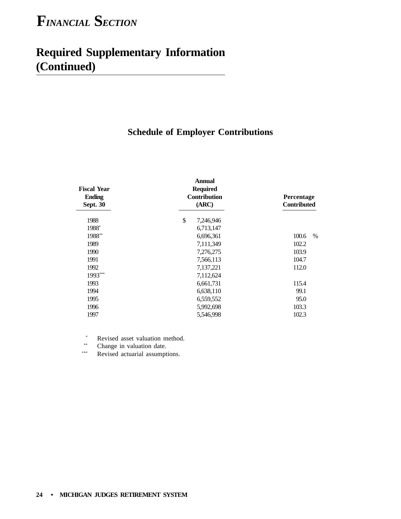### **Required Supplementary Information (Continued)**

### **Schedule of Employer Contributions**

| <b>Fiscal Year</b><br><b>Ending</b><br><b>Sept. 30</b> | <b>Annual</b><br><b>Required</b><br><b>Contribution</b><br>(ARC) | Percentage<br><b>Contributed</b> |  |  |
|--------------------------------------------------------|------------------------------------------------------------------|----------------------------------|--|--|
| 1988                                                   | $\$$<br>7,246,946                                                |                                  |  |  |
| 1988*                                                  | 6,713,147                                                        |                                  |  |  |
| 1988**                                                 | 6,696,361                                                        | 100.6<br>$\%$                    |  |  |
| 1989                                                   | 7,111,349                                                        | 102.2                            |  |  |
| 1990                                                   | 7,276,275                                                        | 103.9                            |  |  |
| 1991                                                   | 7,566,113                                                        | 104.7                            |  |  |
| 1992                                                   | 7,137,221                                                        | 112.0                            |  |  |
| 1993***                                                | 7,112,624                                                        |                                  |  |  |
| 1993                                                   | 6,661,731                                                        | 115.4                            |  |  |
| 1994                                                   | 6,638,110                                                        | 99.1                             |  |  |
| 1995                                                   | 6,559,552                                                        | 95.0                             |  |  |
| 1996                                                   | 5,992,698                                                        | 103.3                            |  |  |
| 1997                                                   | 5,546,998                                                        | 102.3                            |  |  |

\* Revised asset valuation method.

\*\* Change in valuation date.<br> $R_{\text{evised actual assumption}}$ 

Revised actuarial assumptions.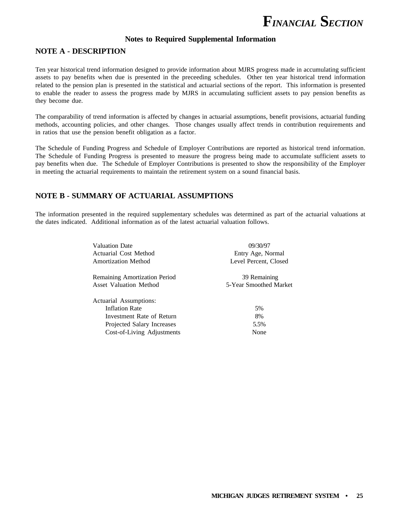

### **Notes to Required Supplemental Information**

### **NOTE A - DESCRIPTION**

Ten year historical trend information designed to provide information about MJRS progress made in accumulating sufficient assets to pay benefits when due is presented in the preceeding schedules. Other ten year historical trend information related to the pension plan is presented in the statistical and actuarial sections of the report. This information is presented to enable the reader to assess the progress made by MJRS in accumulating sufficient assets to pay pension benefits as they become due.

The comparability of trend information is affected by changes in actuarial assumptions, benefit provisions, actuarial funding methods, accounting policies, and other changes. Those changes usually affect trends in contribution requirements and in ratios that use the pension benefit obligation as a factor.

The Schedule of Funding Progress and Schedule of Employer Contributions are reported as historical trend information. The Schedule of Funding Progress is presented to measure the progress being made to accumulate sufficient assets to pay benefits when due. The Schedule of Employer Contributions is presented to show the responsibility of the Employer in meeting the actuarial requirements to maintain the retirement system on a sound financial basis.

### **NOTE B - SUMMARY OF ACTUARIAL ASSUMPTIONS**

The information presented in the required supplementary schedules was determined as part of the actuarial valuations at the dates indicated. Additional information as of the latest actuarial valuation follows.

| <b>Valuation Date</b>                | 09/30/97               |  |  |
|--------------------------------------|------------------------|--|--|
| Actuarial Cost Method                | Entry Age, Normal      |  |  |
| <b>Amortization Method</b>           | Level Percent, Closed  |  |  |
| <b>Remaining Amortization Period</b> | 39 Remaining           |  |  |
| <b>Asset Valuation Method</b>        | 5-Year Smoothed Market |  |  |
| Actuarial Assumptions:               |                        |  |  |
| <b>Inflation Rate</b>                | 5%                     |  |  |
| Investment Rate of Return            | 8%                     |  |  |
| Projected Salary Increases           | 5.5%                   |  |  |
| Cost-of-Living Adjustments           | None                   |  |  |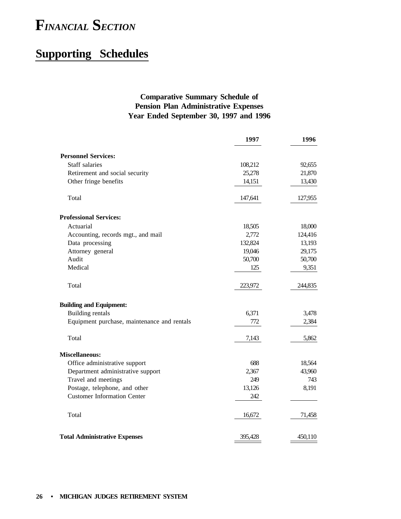### **Supporting Schedules**

### **Comparative Summary Schedule of Pension Plan Administrative Expenses Year Ended September 30, 1997 and 1996**

|                                             | 1997    | 1996    |
|---------------------------------------------|---------|---------|
| <b>Personnel Services:</b>                  |         |         |
| Staff salaries                              | 108,212 | 92,655  |
| Retirement and social security              | 25,278  | 21,870  |
| Other fringe benefits                       | 14,151  | 13,430  |
| Total                                       | 147,641 | 127,955 |
| <b>Professional Services:</b>               |         |         |
| Actuarial                                   | 18,505  | 18,000  |
| Accounting, records mgt., and mail          | 2,772   | 124,416 |
| Data processing                             | 132,824 | 13,193  |
| Attorney general                            | 19,046  | 29,175  |
| Audit                                       | 50,700  | 50,700  |
| Medical                                     | 125     | 9,351   |
| Total                                       | 223,972 | 244,835 |
| <b>Building and Equipment:</b>              |         |         |
| Building rentals                            | 6,371   | 3,478   |
| Equipment purchase, maintenance and rentals | 772     | 2,384   |
| Total                                       | 7,143   | 5,862   |
| <b>Miscellaneous:</b>                       |         |         |
| Office administrative support               | 688     | 18,564  |
| Department administrative support           | 2,367   | 43,960  |
| Travel and meetings                         | 249     | 743     |
| Postage, telephone, and other               | 13,126  | 8,191   |
| <b>Customer Information Center</b>          | 242     |         |
| Total                                       | 16,672  | 71,458  |
| <b>Total Administrative Expenses</b>        | 395,428 | 450,110 |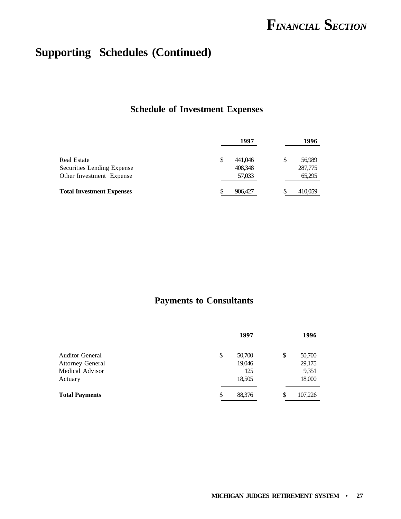### **Supporting Schedules (Continued)**

### **Schedule of Investment Expenses**

|                                  | 1997          |    | 1996    |
|----------------------------------|---------------|----|---------|
| Real Estate                      | \$<br>441,046 | \$ | 56,989  |
| Securities Lending Expense       | 408,348       |    | 287,775 |
| Other Investment Expense         | 57,033        |    | 65,295  |
| <b>Total Investment Expenses</b> | \$<br>906,427 | S  | 410,059 |

### **Payments to Consultants**

|                         | 1997         | 1996          |
|-------------------------|--------------|---------------|
| <b>Auditor General</b>  | \$<br>50,700 | \$<br>50,700  |
| <b>Attorney General</b> | 19,046       | 29,175        |
| Medical Advisor         | 125          | 9,351         |
| Actuary                 | 18,505       | 18,000        |
| <b>Total Payments</b>   | \$<br>88,376 | \$<br>107,226 |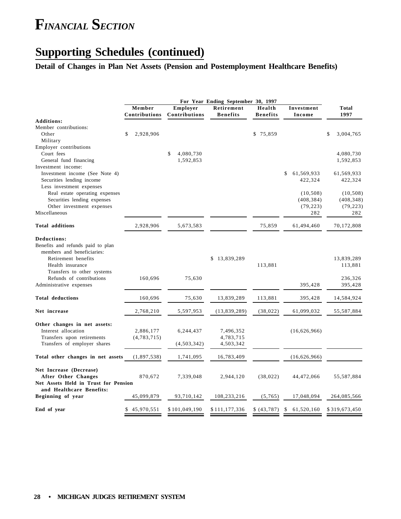### **Supporting Schedules (continued)**

### **Detail of Changes in Plan Net Assets (Pension and Postemployment Healthcare Benefits)**

|                                                  | For Year Ending September 30, 1997 |                           |                               |                           |                      |                        |  |
|--------------------------------------------------|------------------------------------|---------------------------|-------------------------------|---------------------------|----------------------|------------------------|--|
|                                                  | Member<br>Contributions            | Employer<br>Contributions | Retirement<br><b>Benefits</b> | Health<br><b>Benefits</b> | Investment<br>Income | <b>Total</b><br>1997   |  |
| <b>Additions:</b>                                |                                    |                           |                               |                           |                      |                        |  |
| Member contributions:<br>Other                   | \$<br>2,928,906                    |                           |                               | \$75,859                  |                      | \$<br>3,004,765        |  |
| Military                                         |                                    |                           |                               |                           |                      |                        |  |
| Employer contributions<br>Court fees             |                                    | \$                        |                               |                           |                      |                        |  |
| General fund financing                           |                                    | 4,080,730<br>1,592,853    |                               |                           |                      | 4,080,730<br>1,592,853 |  |
| Investment income:                               |                                    |                           |                               |                           |                      |                        |  |
| Investment income (See Note 4)                   |                                    |                           |                               |                           | \$<br>61,569,933     | 61,569,933             |  |
| Securities lending income                        |                                    |                           |                               |                           | 422,324              | 422,324                |  |
| Less investment expenses                         |                                    |                           |                               |                           |                      |                        |  |
| Real estate operating expenses                   |                                    |                           |                               |                           | (10, 508)            | (10, 508)              |  |
| Securities lending expenses                      |                                    |                           |                               |                           | (408, 384)           | (408, 348)             |  |
| Other investment expenses                        |                                    |                           |                               |                           | (79, 223)            | (79, 223)              |  |
| Miscellaneous                                    |                                    |                           |                               |                           | 282                  | 282                    |  |
| <b>Total additions</b>                           | 2,928,906                          | 5,673,583                 |                               | 75,859                    | 61,494,460           | 70,172,808             |  |
|                                                  |                                    |                           |                               |                           |                      |                        |  |
| Deductions:<br>Benefits and refunds paid to plan |                                    |                           |                               |                           |                      |                        |  |
| members and beneficiaries:                       |                                    |                           |                               |                           |                      |                        |  |
| Retirement benefits                              |                                    |                           | \$13,839,289                  |                           |                      | 13,839,289             |  |
| Health insurance                                 |                                    |                           |                               | 113,881                   |                      | 113,881                |  |
| Transfers to other systems                       |                                    |                           |                               |                           |                      |                        |  |
| Refunds of contributions                         | 160,696                            | 75,630                    |                               |                           |                      | 236,326                |  |
| Administrative expenses                          |                                    |                           |                               |                           | 395,428              | 395,428                |  |
| <b>Total deductions</b>                          | 160,696                            | 75,630                    | 13,839,289                    | 113,881                   | 395,428              | 14,584,924             |  |
|                                                  |                                    |                           |                               |                           |                      |                        |  |
| Net increase                                     | 2,768,210                          | 5,597,953                 | (13,839,289)                  | (38, 022)                 | 61,099,032           | 55,587,884             |  |
| Other changes in net assets:                     |                                    |                           |                               |                           |                      |                        |  |
| Interest allocation                              | 2,886,177                          | 6,244,437                 | 7,496,352                     |                           | (16,626,966)         |                        |  |
| Transfers upon retirements                       | (4,783,715)                        |                           | 4,783,715                     |                           |                      |                        |  |
| Transfers of employer shares                     |                                    | (4,503,342)               | 4,503,342                     |                           |                      |                        |  |
| Total other changes in net assets                | (1,897,538)                        | 1,741,095                 | 16,783,409                    |                           | (16,626,966)         |                        |  |
| Net Increase (Decrease)                          |                                    |                           |                               |                           |                      |                        |  |
| After Other Changes                              | 870,672                            | 7,339,048                 | 2,944,120                     | (38, 022)                 | 44,472,066           | 55,587,884             |  |
| Net Assets Held in Trust for Pension             |                                    |                           |                               |                           |                      |                        |  |
| and Healthcare Benefits:                         |                                    |                           |                               |                           |                      |                        |  |
| Beginning of year                                | 45,099,879                         | 93,710,142                | 108,233,216                   | (5,765)                   | 17,048,094           | 264,085,566            |  |
| End of year                                      | 45,970,551                         | \$101,049,190             | \$111,177,336                 | \$ (43, 787)              | 61,520,160<br>S      | \$319,673,450          |  |
|                                                  |                                    |                           |                               |                           |                      |                        |  |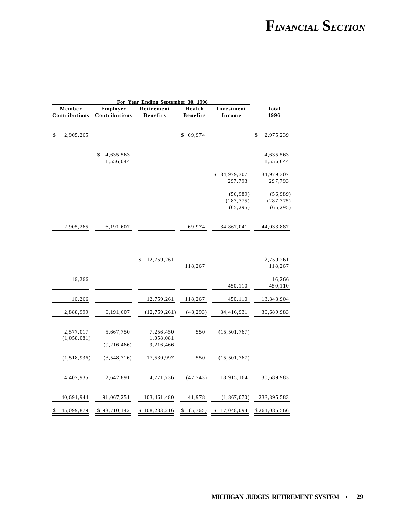|                         |                          |                              | For Year Ending September 30, 1996  |                           |                                     |                                     |  |
|-------------------------|--------------------------|------------------------------|-------------------------------------|---------------------------|-------------------------------------|-------------------------------------|--|
| Member<br>Contributions |                          | Employer<br>Contributions    | Retirement<br><b>Benefits</b>       | Health<br><b>Benefits</b> | Investment<br>Income                | <b>Total</b><br>1996                |  |
| \$                      | 2,905,265                |                              |                                     | 69,974<br>\$              |                                     | \$<br>2,975,239                     |  |
|                         |                          | \$<br>4,635,563<br>1,556,044 |                                     |                           |                                     | 4,635,563<br>1,556,044              |  |
|                         |                          |                              |                                     |                           | 34,979,307<br>\$<br>297,793         | 34,979,307<br>297,793               |  |
|                         |                          |                              |                                     |                           | (56,989)<br>(287, 775)<br>(65, 295) | (56,989)<br>(287, 775)<br>(65, 295) |  |
|                         | 2,905,265                | 6,191,607                    |                                     | 69,974                    | 34,867,041                          | 44,033,887                          |  |
|                         |                          |                              | \$<br>12,759,261                    | 118,267                   |                                     | 12,759,261<br>118,267               |  |
|                         | 16,266                   |                              |                                     |                           | 450,110                             | 16,266<br>450,110                   |  |
|                         | 16,266                   |                              | 12,759,261                          | 118,267                   | 450,110                             | 13,343,904                          |  |
|                         | 2,888,999                | 6,191,607                    | (12, 759, 261)                      | (48, 293)                 | 34,416,931                          | 30,689,983                          |  |
|                         | 2,577,017<br>(1,058,081) | 5,667,750<br>(9, 216, 466)   | 7,256,450<br>1,058,081<br>9,216,466 | 550                       | (15,501,767)                        |                                     |  |

 $(1,518,936)$   $(3,548,716)$   $17,530,997$   $550$   $(15,501,767)$ 

4,407,935 2,642,891 4,771,736 (47,743) 18,915,164 30,689,983

40,691,944 91,067,251 103,461,480 41,978 (1,867,070) 233,395,583

\$ 45,099,879 \$ 93,710,142 \$ 108,233,216 \$ (5,765) \$ 17,048,094 \$ 264,085,566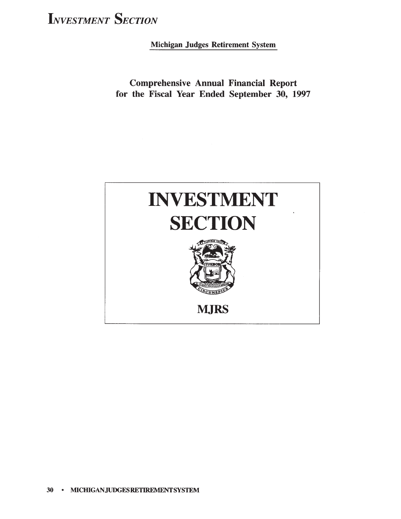Michigan Judges Retirement System

**Comprehensive Annual Financial Report** for the Fiscal Year Ended September 30, 1997

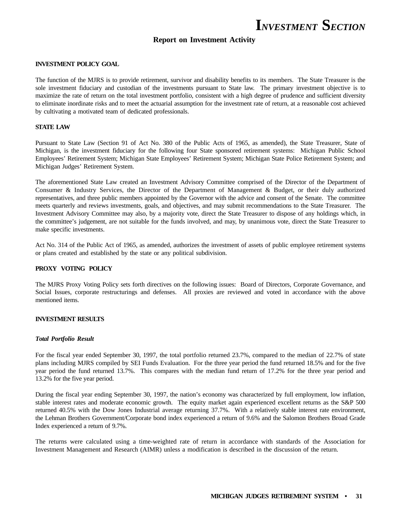### **Report on Investment Activity**

#### **INVESTMENT POLICY GOAL**

The function of the MJRS is to provide retirement, survivor and disability benefits to its members. The State Treasurer is the sole investment fiduciary and custodian of the investments pursuant to State law. The primary investment objective is to maximize the rate of return on the total investment portfolio, consistent with a high degree of prudence and sufficient diversity to eliminate inordinate risks and to meet the actuarial assumption for the investment rate of return, at a reasonable cost achieved by cultivating a motivated team of dedicated professionals.

### **STATE LAW**

Pursuant to State Law (Section 91 of Act No. 380 of the Public Acts of 1965, as amended), the State Treasurer, State of Michigan, is the investment fiduciary for the following four State sponsored retirement systems: Michigan Public School Employees' Retirement System; Michigan State Employees' Retirement System; Michigan State Police Retirement System; and Michigan Judges' Retirement System.

The aforementioned State Law created an Investment Advisory Committee comprised of the Director of the Department of Consumer & Industry Services, the Director of the Department of Management & Budget, or their duly authorized representatives, and three public members appointed by the Governor with the advice and consent of the Senate. The committee meets quarterly and reviews investments, goals, and objectives, and may submit recommendations to the State Treasurer. The Investment Advisory Committee may also, by a majority vote, direct the State Treasurer to dispose of any holdings which, in the committee's judgement, are not suitable for the funds involved, and may, by unanimous vote, direct the State Treasurer to make specific investments.

Act No. 314 of the Public Act of 1965, as amended, authorizes the investment of assets of public employee retirement systems or plans created and established by the state or any political subdivision.

#### **PROXY VOTING POLICY**

The MJRS Proxy Voting Policy sets forth directives on the following issues: Board of Directors, Corporate Governance, and Social Issues, corporate restructurings and defenses. All proxies are reviewed and voted in accordance with the above mentioned items.

### **INVESTMENT RESULTS**

#### *Total Portfolio Result*

For the fiscal year ended September 30, 1997, the total portfolio returned 23.7%, compared to the median of 22.7% of state plans including MJRS compiled by SEI Funds Evaluation. For the three year period the fund returned 18.5% and for the five year period the fund returned 13.7%. This compares with the median fund return of 17.2% for the three year period and 13.2% for the five year period.

During the fiscal year ending September 30, 1997, the nation's economy was characterized by full employment, low inflation, stable interest rates and moderate economic growth. The equity market again experienced excellent returns as the S&P 500 returned 40.5% with the Dow Jones Industrial average returning 37.7%. With a relatively stable interest rate environment, the Lehman Brothers Government/Corporate bond index experienced a return of 9.6% and the Salomon Brothers Broad Grade Index experienced a return of 9.7%.

The returns were calculated using a time-weighted rate of return in accordance with standards of the Association for Investment Management and Research (AIMR) unless a modification is described in the discussion of the return.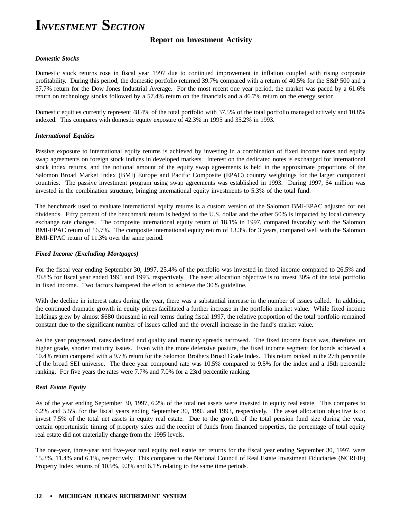### **Report on Investment Activity**

#### *Domestic Stocks*

Domestic stock returns rose in fiscal year 1997 due to continued improvement in inflation coupled with rising corporate profitability. During this period, the domestic portfolio returned 39.7% compared with a return of 40.5% for the S&P 500 and a 37.7% return for the Dow Jones Industrial Average. For the most recent one year period, the market was paced by a 61.6% return on technology stocks followed by a 57.4% return on the financials and a 46.7% return on the energy sector.

Domestic equities currently represent 48.4% of the total portfolio with 37.5% of the total portfolio managed actively and 10.8% indexed. This compares with domestic equity exposure of 42.3% in 1995 and 35.2% in 1993.

### *International Equities*

Passive exposure to international equity returns is achieved by investing in a combination of fixed income notes and equity swap agreements on foreign stock indices in developed markets. Interest on the dedicated notes is exchanged for international stock index returns, and the notional amount of the equity swap agreements is held in the approximate proportions of the Salomon Broad Market Index (BMI) Europe and Pacific Composite (EPAC) country weightings for the larger component countries. The passive investment program using swap agreements was established in 1993. During 1997, \$4 million was invested in the combination structure, bringing international equity investments to 5.3% of the total fund.

The benchmark used to evaluate international equity returns is a custom version of the Salomon BMI-EPAC adjusted for net dividends. Fifty percent of the benchmark return is hedged to the U.S. dollar and the other 50% is impacted by local currency exchange rate changes. The composite international equity return of 18.1% in 1997, compared favorably with the Salomon BMI-EPAC return of 16.7%. The composite international equity return of 13.3% for 3 years, compared well with the Salomon BMI-EPAC return of 11.3% over the same period.

#### *Fixed Income (Excluding Mortgages)*

For the fiscal year ending September 30, 1997, 25.4% of the portfolio was invested in fixed income compared to 26.5% and 30.8% for fiscal year ended 1995 and 1993, respectively. The asset allocation objective is to invest 30% of the total portfolio in fixed income. Two factors hampered the effort to achieve the 30% guideline.

With the decline in interest rates during the year, there was a substantial increase in the number of issues called. In addition, the continued dramatic growth in equity prices facilitated a further increase in the portfolio market value. While fixed income holdings grew by almost \$680 thousand in real terms during fiscal 1997, the relative proportion of the total portfolio remained constant due to the significant number of issues called and the overall increase in the fund's market value.

As the year progressed, rates declined and quality and maturity spreads narrowed. The fixed income focus was, therefore, on higher grade, shorter maturity issues. Even with the more defensive posture, the fixed income segment for bonds achieved a 10.4% return compared with a 9.7% return for the Salomon Brothers Broad Grade Index. This return ranked in the 27th percentile of the broad SEI universe. The three year compound rate was 10.5% compared to 9.5% for the index and a 15th percentile ranking. For five years the rates were 7.7% and 7.0% for a 23rd percentile ranking.

### *Real Estate Equity*

As of the year ending September 30, 1997, 6.2% of the total net assets were invested in equity real estate. This compares to 6.2% and 5.5% for the fiscal years ending September 30, 1995 and 1993, respectively. The asset allocation objective is to invest 7.5% of the total net assets in equity real estate. Due to the growth of the total pension fund size during the year, certain opportunistic timing of property sales and the receipt of funds from financed properties, the percentage of total equity real estate did not materially change from the 1995 levels.

The one-year, three-year and five-year total equity real estate net returns for the fiscal year ending September 30, 1997, were 15.3%, 11.4% and 6.1%, respectively. This compares to the National Council of Real Estate Investment Fiduciaries (NCREIF) Property Index returns of 10.9%, 9.3% and 6.1% relating to the same time periods.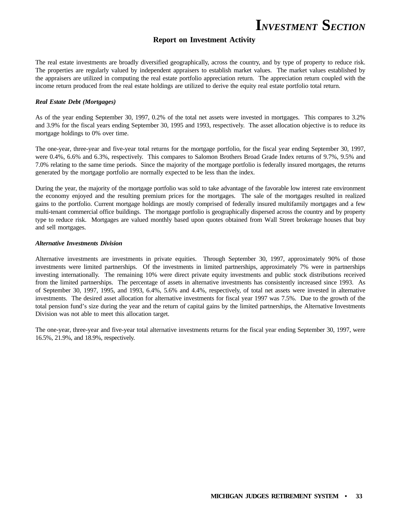### **Report on Investment Activity**

The real estate investments are broadly diversified geographically, across the country, and by type of property to reduce risk. The properties are regularly valued by independent appraisers to establish market values. The market values established by the appraisers are utilized in computing the real estate portfolio appreciation return. The appreciation return coupled with the income return produced from the real estate holdings are utilized to derive the equity real estate portfolio total return.

#### *Real Estate Debt (Mortgages)*

As of the year ending September 30, 1997, 0.2% of the total net assets were invested in mortgages. This compares to 3.2% and 3.9% for the fiscal years ending September 30, 1995 and 1993, respectively. The asset allocation objective is to reduce its mortgage holdings to 0% over time.

The one-year, three-year and five-year total returns for the mortgage portfolio, for the fiscal year ending September 30, 1997, were 0.4%, 6.6% and 6.3%, respectively. This compares to Salomon Brothers Broad Grade Index returns of 9.7%, 9.5% and 7.0% relating to the same time periods. Since the majority of the mortgage portfolio is federally insured mortgages, the returns generated by the mortgage portfolio are normally expected to be less than the index.

During the year, the majority of the mortgage portfolio was sold to take advantage of the favorable low interest rate environment the economy enjoyed and the resulting premium prices for the mortgages. The sale of the mortgages resulted in realized gains to the portfolio. Current mortgage holdings are mostly comprised of federally insured multifamily mortgages and a few multi-tenant commercial office buildings. The mortgage portfolio is geographically dispersed across the country and by property type to reduce risk. Mortgages are valued monthly based upon quotes obtained from Wall Street brokerage houses that buy and sell mortgages.

#### *Alternative Investments Division*

Alternative investments are investments in private equities. Through September 30, 1997, approximately 90% of those investments were limited partnerships. Of the investments in limited partnerships, approximately 7% were in partnerships investing internationally. The remaining 10% were direct private equity investments and public stock distributions received from the limited partnerships. The percentage of assets in alternative investments has consistently increased since 1993. As of September 30, 1997, 1995, and 1993, 6.4%, 5.6% and 4.4%, respectively, of total net assets were invested in alternative investments. The desired asset allocation for alternative investments for fiscal year 1997 was 7.5%. Due to the growth of the total pension fund's size during the year and the return of capital gains by the limited partnerships, the Alternative Investments Division was not able to meet this allocation target.

The one-year, three-year and five-year total alternative investments returns for the fiscal year ending September 30, 1997, were 16.5%, 21.9%, and 18.9%, respectively.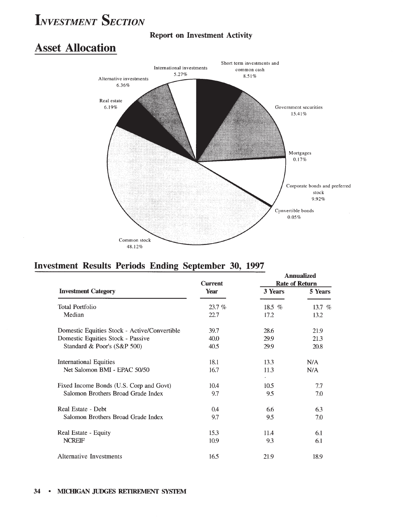### **Report on Investment Activity**

### **Asset Allocation**



### Investment Results Periods Ending September 30, 1997

|                                              | <b>Current</b> | Annualized<br><b>Rate of Return</b> |          |  |
|----------------------------------------------|----------------|-------------------------------------|----------|--|
| <b>Investment Category</b>                   | Year           | 3 Years                             | 5 Years  |  |
| <b>Total Portfolio</b>                       | 23.7%          | 18.5 $%$                            | 13.7 $%$ |  |
| Median                                       | 22.7           | 17.2                                | 13.2     |  |
| Domestic Equities Stock - Active/Convertible | 39.7           | 28.6                                | 21.9     |  |
| Domestic Equities Stock - Passive            | 40.0           | 29.9                                | 21.3     |  |
| Standard & Poor's (S&P 500)                  | 40.5           | 29.9                                | 20.8     |  |
| International Equities                       | 18.1           | 13.3                                | N/A      |  |
| Net Salomon BMI - EPAC 50/50                 | 16.7           | 11.3                                | N/A      |  |
| Fixed Income Bonds (U.S. Corp and Govt)      | 10.4           | 10.5                                | 7.7      |  |
| Salomon Brothers Broad Grade Index           | 9.7            | 9.5                                 | 7.0      |  |
| Real Estate - Debt                           | 0.4            | 6.6                                 | 6.3      |  |
| Salomon Brothers Broad Grade Index           | 9.7            | 9.5                                 | 7.0      |  |
| Real Estate - Equity                         | 15.3           | 11.4                                | 6.1      |  |
| <b>NCREIF</b>                                | 10.9           | 9.3                                 | 6.1      |  |
| <b>Alternative Investments</b>               | 16.5           | 21.9                                | 18.9     |  |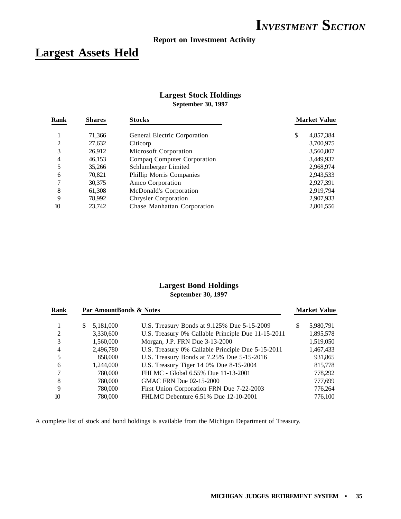### **Report on Investment Activity**

### **Largest Assets Held**

### **Largest Stock Holdings September 30, 1997**

| <b>Shares</b> | <b>Stocks</b>                | <b>Market Value</b> |  |  |
|---------------|------------------------------|---------------------|--|--|
| 71,366        | General Electric Corporation | \$<br>4,857,384     |  |  |
| 27,632        | Citicorp                     | 3,700,975           |  |  |
| 26,912        | Microsoft Corporation        | 3,560,807           |  |  |
| 46,153        | Compaq Computer Corporation  | 3,449,937           |  |  |
| 35,266        | Schlumberger Limited         | 2,968,974           |  |  |
| 70,821        | Phillip Morris Companies     | 2,943,533           |  |  |
| 30,375        | Amco Corporation             | 2,927,391           |  |  |
| 61,308        | McDonald's Corporation       | 2,919,794           |  |  |
| 78,992        | <b>Chrysler Corporation</b>  | 2,907,933           |  |  |
| 23,742        | Chase Manhattan Corporation  | 2,801,556           |  |  |
|               |                              |                     |  |  |

### **Largest Bond Holdings September 30, 1997**

| Rank | Par AmountBonds & Notes |                                                    |   | <b>Market Value</b> |
|------|-------------------------|----------------------------------------------------|---|---------------------|
|      | 5,181,000<br>S.         | U.S. Treasury Bonds at 9.125% Due 5-15-2009        | S | 5,980,791           |
| 2    | 3,330,600               | U.S. Treasury 0% Callable Principle Due 11-15-2011 |   | 1,895,578           |
| 3    | 1,560,000               | Morgan, J.P. FRN Due 3-13-2000                     |   | 1,519,050           |
| 4    | 2,496,780               | U.S. Treasury 0% Callable Principle Due 5-15-2011  |   | 1,467,433           |
| 5    | 858,000                 | U.S. Treasury Bonds at 7.25% Due 5-15-2016         |   | 931,865             |
| 6    | 1,244,000               | U.S. Treasury Tiger 14 0% Due 8-15-2004            |   | 815,778             |
| 7    | 780,000                 | FHLMC - Global 6.55% Due 11-13-2001                |   | 778,292             |
| 8    | 780,000                 | GMAC FRN Due 02-15-2000                            |   | 777,699             |
| 9    | 780,000                 | First Union Corporation FRN Due 7-22-2003          |   | 776,264             |
| 10   | 780,000                 | FHLMC Debenture 6.51% Due 12-10-2001               |   | 776.100             |

A complete list of stock and bond holdings is available from the Michigan Department of Treasury.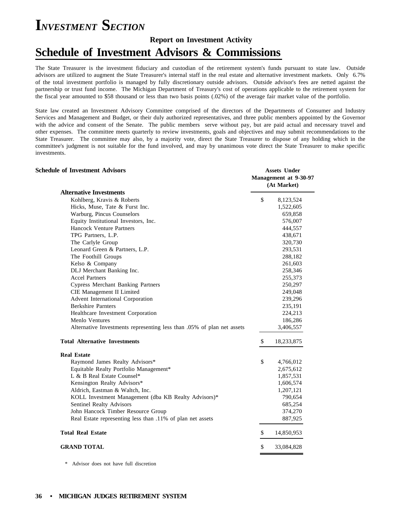### **Report on Investment Activity Schedule of Investment Advisors & Commissions**

The State Treasurer is the investment fiduciary and custodian of the retirement system's funds pursuant to state law. Outside advisors are utilized to augment the State Treasurer's internal staff in the real estate and alternative investment markets. Only 6.7% of the total investment portfolio is managed by fully discretionary outside advisors. Outside advisor's fees are netted against the partnership or trust fund income. The Michigan Department of Treasury's cost of operations applicable to the retirement system for the fiscal year amounted to \$58 thousand or less than two basis points (.02%) of the average fair market value of the portfolio.

State law created an Investment Advisory Committee comprised of the directors of the Departments of Consumer and Industry Services and Management and Budget, or their duly authorized representatives, and three public members appointed by the Governor with the advice and consent of the Senate. The public members serve without pay, but are paid actual and necessary travel and other expenses. The committee meets quarterly to review investments, goals and objectives and may submit recommendations to the State Treasurer. The committee may also, by a majority vote, direct the State Treasurer to dispose of any holding which in the committee's judgment is not suitable for the fund involved, and may by unanimous vote direct the State Treasurer to make specific investments.

| <b>Schedule of Investment Advisors</b>                                 | <b>Assets Under</b><br>Management at 9-30-97<br>(At Market) |
|------------------------------------------------------------------------|-------------------------------------------------------------|
| <b>Alternative Investments</b>                                         |                                                             |
| Kohlberg, Kravis & Roberts                                             | \$<br>8,123,524                                             |
| Hicks, Muse, Tate & Furst Inc.                                         | 1,522,605                                                   |
| Warburg, Pincus Counselors                                             | 659,858                                                     |
| Equity Institutional Investors, Inc.                                   | 576,007                                                     |
| <b>Hancock Venture Partners</b>                                        | 444,557                                                     |
| TPG Partners, L.P.                                                     | 438,671                                                     |
| The Carlyle Group                                                      | 320,730                                                     |
| Leonard Green & Partners, L.P.                                         | 293,531                                                     |
| The Foothill Groups                                                    | 288,182                                                     |
| Kelso & Company                                                        | 261,603                                                     |
| DLJ Merchant Banking Inc.                                              | 258,346                                                     |
| <b>Accel Partners</b>                                                  | 255,373                                                     |
| <b>Cypress Merchant Banking Partners</b>                               | 250,297                                                     |
| CIE Management II Limited                                              | 249,048                                                     |
| Advent International Corporation                                       | 239,296                                                     |
| <b>Berkshire Parnters</b>                                              | 235,191                                                     |
| Healthcare Investment Corporation                                      | 224,213                                                     |
| Menlo Ventures                                                         | 186,286                                                     |
| Alternative Investments representing less than .05% of plan net assets | 3,406,557                                                   |
| <b>Total Alternative Investments</b>                                   | \$<br>18,233,875                                            |
| <b>Real Estate</b>                                                     |                                                             |
| Raymond James Realty Advisors*                                         | \$<br>4,766,012                                             |
| Equitable Realty Portfolio Management*                                 | 2,675,612                                                   |
| L & B Real Estate Counsel*                                             | 1,857,531                                                   |
| Kensington Realty Advisors*                                            | 1,606,574                                                   |
| Aldrich, Eastman & Waltch, Inc.                                        | 1,207,121                                                   |
| KOLL Investment Management (dba KB Realty Advisors)*                   | 790,654                                                     |
| Sentinel Realty Advisors                                               | 685,254                                                     |
| John Hancock Timber Resource Group                                     | 374,270                                                     |
| Real Estate representing less than .11% of plan net assets             | 887,925                                                     |
| <b>Total Real Estate</b>                                               | \$<br>14,850,953                                            |
| <b>GRAND TOTAL</b>                                                     | \$<br>33,084,828                                            |
|                                                                        |                                                             |

\* Advisor does not have full discretion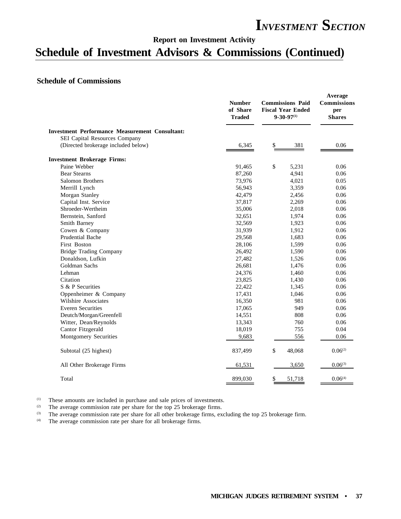### **Report on Investment Activity**

### **Schedule of Investment Advisors & Commissions (Continued)**

### **Schedule of Commissions**

|                                                       | <b>Number</b><br>of Share<br><b>Traded</b> | <b>Commissions Paid</b><br><b>Fiscal Year Ended</b><br>$9 - 30 - 97^{(1)}$ | Average<br><b>Commissions</b><br>per<br><b>Shares</b> |  |
|-------------------------------------------------------|--------------------------------------------|----------------------------------------------------------------------------|-------------------------------------------------------|--|
| <b>Investment Performance Measurement Consultant:</b> |                                            |                                                                            |                                                       |  |
| SEI Capital Resources Company                         |                                            |                                                                            |                                                       |  |
| (Directed brokerage included below)                   | 6,345                                      | \$<br>381                                                                  | 0.06                                                  |  |
| <b>Investment Brokerage Firms:</b>                    |                                            |                                                                            |                                                       |  |
| Paine Webber                                          | 91,465                                     | \$<br>5,231                                                                | 0.06                                                  |  |
| <b>Bear Stearns</b>                                   | 87,260                                     | 4,941                                                                      | 0.06                                                  |  |
| Salomon Brothers                                      | 73,976                                     | 4,021                                                                      | 0.05                                                  |  |
| Merrill Lynch                                         | 56,943                                     | 3,359                                                                      | 0.06                                                  |  |
| Morgan Stanley                                        | 42,479                                     | 2,456                                                                      | 0.06                                                  |  |
| Capital Inst. Service                                 | 37,817                                     | 2,269                                                                      | 0.06                                                  |  |
| Shroeder-Wertheim                                     | 35,006                                     | 2,018                                                                      | 0.06                                                  |  |
| Bernstein, Sanford                                    | 32,651                                     | 1,974                                                                      | 0.06                                                  |  |
| Smith Barney                                          | 32,569                                     | 1,923                                                                      | 0.06                                                  |  |
| Cowen & Company                                       | 31,939                                     | 1,912                                                                      | 0.06                                                  |  |
| Prudential Bache                                      | 29,568                                     | 1,683                                                                      | 0.06                                                  |  |
| <b>First Boston</b>                                   | 28,106                                     | 1,599                                                                      | 0.06                                                  |  |
| <b>Bridge Trading Company</b>                         | 26,492                                     | 1,590                                                                      | 0.06                                                  |  |
| Donaldson, Lufkin                                     | 27,482                                     | 1,526                                                                      | 0.06                                                  |  |
| Goldman Sachs                                         | 26,681                                     | 1,476                                                                      | 0.06                                                  |  |
| Lehman                                                | 24,376                                     | 1,460                                                                      | 0.06                                                  |  |
| Citation                                              | 23,825                                     | 1,430                                                                      | 0.06                                                  |  |
| S & P Securities                                      | 22,422                                     | 1,345                                                                      | 0.06                                                  |  |
| Oppenheimer & Company                                 | 17,431                                     | 1,046                                                                      | 0.06                                                  |  |
| Wilshire Associates                                   | 16,350                                     | 981                                                                        | 0.06                                                  |  |
| <b>Everen Securities</b>                              | 17,065                                     | 949                                                                        | 0.06                                                  |  |
| Deutch/Morgan/Greenfell                               | 14,551                                     | 808                                                                        | 0.06                                                  |  |
| Witter, Dean/Reynolds                                 | 13,343                                     | 760                                                                        | 0.06                                                  |  |
| Cantor Fitzgerald                                     | 18,019                                     | 755                                                                        | 0.04                                                  |  |
| Montgomery Securities                                 | 9,683                                      | 556                                                                        | 0.06                                                  |  |
| Subtotal (25 highest)                                 | 837,499                                    | \$<br>48,068                                                               | $0.06^{(2)}$                                          |  |
| All Other Brokerage Firms                             | 61,531                                     | 3,650                                                                      | $0.06^{(3)}$                                          |  |
| Total                                                 | 899,030                                    | 51,718                                                                     | 0.06 <sup>(4)</sup>                                   |  |

(1) These amounts are included in purchase and sale prices of investments.<br>
(2) The average commission rate per share for the top 25 brokerage firms.

(2) The average commission rate per share for the top 25 brokerage firms.<br>
(3) The average commission rate per share for all other brokerage firms, ex

(3) The average commission rate per share for all other brokerage firms, excluding the top 25 brokerage firm.<br>
(4) The average commission rate per share for all brokerage firms

The average commission rate per share for all brokerage firms.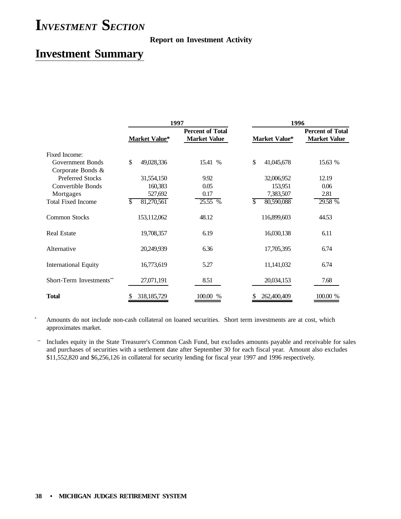### **Report on Investment Activity**

### **Investment Summary**

|                             |                      | 1997 |                                                | 1996             |  |                                                |  |
|-----------------------------|----------------------|------|------------------------------------------------|------------------|--|------------------------------------------------|--|
|                             | <b>Market Value*</b> |      | <b>Percent of Total</b><br><b>Market Value</b> | Market Value*    |  | <b>Percent of Total</b><br><b>Market Value</b> |  |
| Fixed Income:               |                      |      |                                                |                  |  |                                                |  |
| Government Bonds            | \$<br>49,028,336     |      | 15.41 %                                        | \$<br>41,045,678 |  | 15.63 %                                        |  |
| Corporate Bonds &           |                      |      |                                                |                  |  |                                                |  |
| <b>Preferred Stocks</b>     | 31,554,150           |      | 9.92                                           | 32,006,952       |  | 12.19                                          |  |
| Convertible Bonds           | 160,383              |      | 0.05                                           | 153,951          |  | 0.06                                           |  |
| Mortgages                   | 527,692              |      | 0.17                                           | 7,383,507        |  | 2.81                                           |  |
| <b>Total Fixed Income</b>   | \$<br>81,270,561     |      | 25.55 %                                        | \$<br>80,590,088 |  | 29.58 %                                        |  |
| <b>Common Stocks</b>        | 153,112,062          |      | 48.12                                          | 116,899,603      |  | 44.53                                          |  |
| <b>Real Estate</b>          | 19,708,357           |      | 6.19                                           | 16,030,138       |  | 6.11                                           |  |
| Alternative                 | 20,249,939           |      | 6.36                                           | 17,705,395       |  | 6.74                                           |  |
| <b>International Equity</b> | 16,773,619           |      | 5.27                                           | 11, 141, 032     |  | 6.74                                           |  |
| Short-Term Investments**    | 27,071,191           |      | 8.51                                           | 20,034,153       |  | 7.68                                           |  |
| <b>Total</b>                | 318, 185, 729        |      | 100.00 %                                       | 262,400,409      |  | 100.00 %                                       |  |

Amounts do not include non-cash collateral on loaned securities. Short term investments are at cost, which approximates market.

\*\* Includes equity in the State Treasurer's Common Cash Fund, but excludes amounts payable and receivable for sales and purchases of securities with a settlement date after September 30 for each fiscal year. Amount also excludes \$11,552,820 and \$6,256,126 in collateral for security lending for fiscal year 1997 and 1996 respectively.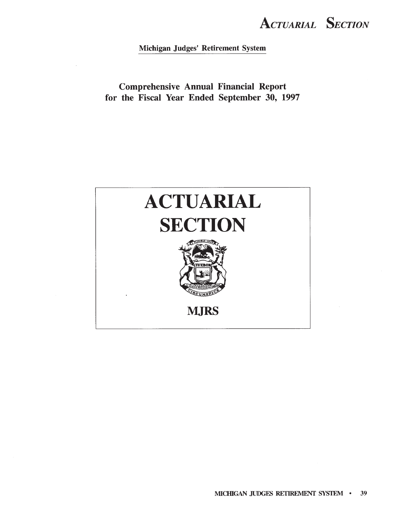**ACTUARIAL SECTION** 

Michigan Judges' Retirement System

**Comprehensive Annual Financial Report** for the Fiscal Year Ended September 30, 1997

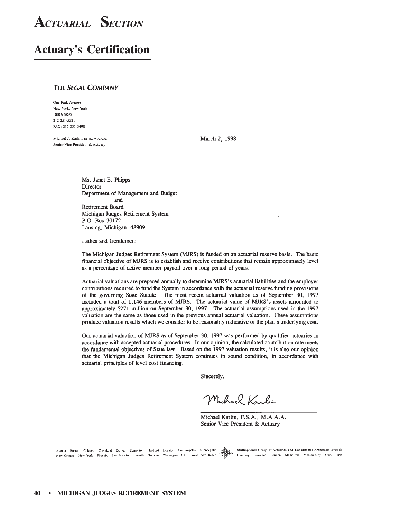### **Actuary's Certification**

### **THE SEGAL COMPANY**

One Park Avenue New York, New York 10016-5895 212-251-5321 FAX: 212-251-5490

Michael J. Karlin, F.S.A., M.A.A.A. Senior Vice President & Actuary

March 2, 1998

Ms. Janet E. Phipps Director Department of Management and Budget and Retirement Board Michigan Judges Retirement System P.O. Box 30172 Lansing, Michigan 48909

Ladies and Gentlemen:

The Michigan Judges Retirement System (MJRS) is funded on an actuarial reserve basis. The basic financial objective of MJRS is to establish and receive contributions that remain approximately level as a percentage of active member payroll over a long period of years.

Actuarial valuations are prepared annually to determine MJRS's actuarial liabilities and the employer contributions required to fund the System in accordance with the actuarial reserve funding provisions of the governing State Statute. The most recent actuarial valuation as of September 30, 1997 included a total of 1,146 members of MJRS. The actuarial value of MJRS's assets amounted to approximately \$271 million on September 30, 1997. The actuarial assumptions used in the 1997 valuation are the same as those used in the previous annual actuarial valuation. These assumptions produce valuation results which we consider to be reasonably indicative of the plan's underlying cost.

Our actuarial valuation of MJRS as of September 30, 1997 was performed by qualified actuaries in accordance with accepted actuarial procedures. In our opinion, the calculated contribution rate meets the fundamental objectives of State law. Based on the 1997 valuation results, it is also our opinion that the Michigan Judges Retirement System continues in sound condition, in accordance with actuarial principles of level cost financing.

Sincerely,

Muhael Karlin

Michael Karlin, F.S.A., M.A.A.A. Senior Vice President & Actuary

|  |  |  |  |  | Atlanta Boston Chicago Cleveland Denver Edmonton Hartford Houston Los Angeles Minneapolis Man C Multi<br>New Orleans New York Phoenix San-Francisco Seattle Toronto Washington, D.C. West-Palm-Beach APPC Hamb |  |
|--|--|--|--|--|----------------------------------------------------------------------------------------------------------------------------------------------------------------------------------------------------------------|--|
|  |  |  |  |  |                                                                                                                                                                                                                |  |

inational Group of Actuaries and Consultants: Amsterdam Brussels burg Lausanne London Melbourne Mexico City Oslo Paris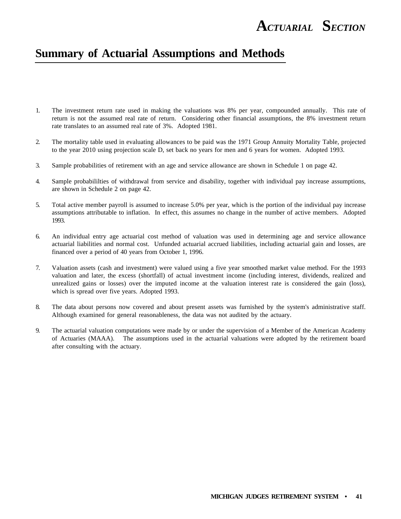### **Summary of Actuarial Assumptions and Methods**

- 1. The investment return rate used in making the valuations was 8% per year, compounded annually. This rate of return is not the assumed real rate of return. Considering other financial assumptions, the 8% investment return rate translates to an assumed real rate of 3%. Adopted 1981.
- 2. The mortality table used in evaluating allowances to be paid was the 1971 Group Annuity Mortality Table, projected to the year 2010 using projection scale D, set back no years for men and 6 years for women. Adopted 1993.
- 3. Sample probabilities of retirement with an age and service allowance are shown in Schedule 1 on page 42.
- 4. Sample probabililties of withdrawal from service and disability, together with individual pay increase assumptions, are shown in Schedule 2 on page 42.
- 5. Total active member payroll is assumed to increase 5.0% per year, which is the portion of the individual pay increase assumptions attributable to inflation. In effect, this assumes no change in the number of active members. Adopted 1993.
- 6. An individual entry age actuarial cost method of valuation was used in determining age and service allowance actuarial liabilities and normal cost. Unfunded actuarial accrued liabilities, including actuarial gain and losses, are financed over a period of 40 years from October 1, 1996.
- 7. Valuation assets (cash and investment) were valued using a five year smoothed market value method. For the 1993 valuation and later, the excess (shortfall) of actual investment income (including interest, dividends, realized and unrealized gains or losses) over the imputed income at the valuation interest rate is considered the gain (loss), which is spread over five years. Adopted 1993.
- 8. The data about persons now covered and about present assets was furnished by the system's administrative staff. Although examined for general reasonableness, the data was not audited by the actuary.
- 9. The actuarial valuation computations were made by or under the supervision of a Member of the American Academy of Actuaries (MAAA). The assumptions used in the actuarial valuations were adopted by the retirement board after consulting with the actuary.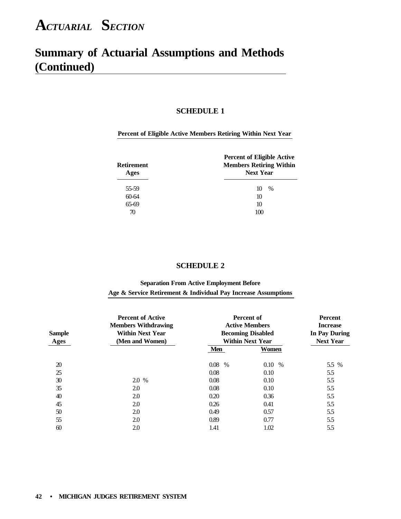### **Summary of Actuarial Assumptions and Methods (Continued)**

### **SCHEDULE 1**

### **Percent of Eligible Active Members Retiring Within Next Year**

| <b>Retirement</b><br>Ages | <b>Percent of Eligible Active</b><br><b>Members Retiring Within</b><br><b>Next Year</b> |
|---------------------------|-----------------------------------------------------------------------------------------|
| 55-59                     | $\%$<br>10                                                                              |
| $60 - 64$                 | 10                                                                                      |
| 65-69                     | 10                                                                                      |
| 70                        | 100                                                                                     |

### **SCHEDULE 2**

### **Separation From Active Employment Before Age & Service Retirement & Individual Pay Increase Assumptions**

| <b>Sample</b><br><b>Ages</b> | <b>Percent of Active</b><br><b>Members Withdrawing</b><br><b>Within Next Year</b><br>(Men and Women) | Percent of<br><b>Active Members</b><br><b>Becoming Disabled</b><br><b>Within Next Year</b> | <b>Percent</b><br><b>Increase</b><br><b>In Pay During</b><br><b>Next Year</b> |       |
|------------------------------|------------------------------------------------------------------------------------------------------|--------------------------------------------------------------------------------------------|-------------------------------------------------------------------------------|-------|
|                              |                                                                                                      | Men                                                                                        | Women                                                                         |       |
| 20                           |                                                                                                      | 0.08<br>$\%$                                                                               | 0.10<br>$\%$                                                                  | 5.5 % |
| 25                           |                                                                                                      | 0.08                                                                                       | 0.10                                                                          | 5.5   |
| 30                           | 2.0 %                                                                                                | 0.08                                                                                       | 0.10                                                                          | 5.5   |
| 35                           | 2.0                                                                                                  | 0.08                                                                                       | 0.10                                                                          | 5.5   |
| 40                           | 2.0                                                                                                  | 0.20                                                                                       | 0.36                                                                          | 5.5   |
| 45                           | 2.0                                                                                                  | 0.26                                                                                       | 0.41                                                                          | 5.5   |
| 50                           | 2.0                                                                                                  | 0.49                                                                                       | 0.57                                                                          | 5.5   |
| 55                           | 2.0                                                                                                  | 0.89                                                                                       | 0.77                                                                          | 5.5   |
| 60                           | 2.0                                                                                                  | 1.41                                                                                       | 1.02                                                                          | 5.5   |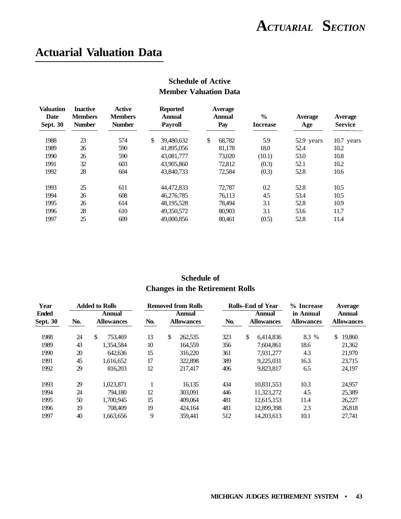### **Actuarial Valuation Data**

| <b>Valuation</b><br>Date<br><b>Sept. 30</b> | <b>Inactive</b><br><b>Members</b><br><b>Number</b> | Active<br><b>Members</b><br><b>Number</b> | <b>Reported</b><br><b>Annual</b><br><b>Payroll</b> | Average<br><b>Annual</b><br>Pay | $\frac{6}{9}$<br><b>Increase</b> | <b>Average</b><br>Age | <b>Average</b><br><b>Service</b> |
|---------------------------------------------|----------------------------------------------------|-------------------------------------------|----------------------------------------------------|---------------------------------|----------------------------------|-----------------------|----------------------------------|
| 1988                                        | 23                                                 | 574                                       | \$<br>39,480,632                                   | \$<br>68.782                    | 5.9                              | 52.9 years            | 10.7 years                       |
| 1989                                        | 26                                                 | 590                                       | 41,895,056                                         | 81,178                          | 18.0                             | 52.4                  | 10.2                             |
| 1990                                        | 26                                                 | 590                                       | 43,081,777                                         | 73,020                          | (10.1)                           | 53.0                  | 10.8                             |
| 1991                                        | 32                                                 | 603                                       | 43,905,860                                         | 72,812                          | (0.3)                            | 52.1                  | 10.2                             |
| 1992                                        | 28                                                 | 604                                       | 43,840,733                                         | 72,584                          | (0.3)                            | 52.8                  | 10.6                             |
| 1993                                        | 25                                                 | 611                                       | 44,472,833                                         | 72,787                          | 0.2                              | 52.8                  | 10.5                             |
| 1994                                        | 26                                                 | 608                                       | 46,276,785                                         | 76,113                          | 4.5                              | 53.4                  | 10.5                             |
| 1995                                        | 26                                                 | 614                                       | 48, 195, 528                                       | 78,494                          | 3.1                              | 52.8                  | 10.9                             |
| 1996                                        | 28                                                 | 610                                       | 49,350,572                                         | 80,903                          | 3.1                              | 53.6                  | 11.7                             |
| 1997                                        | 25                                                 | 609                                       | 49,000,856                                         | 80.461                          | (0.5)                            | 52.8                  | 11.4                             |

### **Schedule of Active Member Valuation Data**

### **Schedule of Changes in the Retirement Rolls**

| Year            |     | <b>Added to Rolls</b><br><b>Rolls–End of Year</b><br><b>Removed from Rolls</b> |     | % Increase        | Average |                   |                   |                        |
|-----------------|-----|--------------------------------------------------------------------------------|-----|-------------------|---------|-------------------|-------------------|------------------------|
| <b>Ended</b>    |     | Annual                                                                         |     | Annual            |         | Annual            | in Annual         | Annual                 |
| <b>Sept. 30</b> | No. | <b>Allowances</b>                                                              | No. | <b>Allowances</b> | No.     | <b>Allowances</b> | <b>Allowances</b> | <b>Allowances</b>      |
| 1988            | 24  | \$<br>753.469                                                                  | 13  | \$<br>262,535     | 323     | \$<br>6.414.836   | 8.3 %             | 19,860<br>$\mathbb{S}$ |
| 1989            | 43  | 1.354.584                                                                      | 10  | 164.559           | 356     | 7.604.861         | 18.6              | 21,362                 |
| 1990            | 20  | 642.636                                                                        | 15  | 316,220           | 361     | 7.931.277         | 4.3               | 21,970                 |
| 1991            | 45  | 1.616.652                                                                      | 17  | 322,898           | 389     | 9.225.031         | 16.3              | 23,715                 |
| 1992            | 29  | 816,203                                                                        | 12  | 217.417           | 406     | 9.823.817         | 6.5               | 24.197                 |
| 1993            | 29  | 1.023.871                                                                      |     | 16.135            | 434     | 10,831,553        | 10.3              | 24,957                 |
| 1994            | 24  | 794.180                                                                        | 12  | 303,091           | 446     | 11,323,272        | 4.5               | 25,389                 |
| 1995            | 50  | 1.700.945                                                                      | 15  | 409,064           | 481     | 12.615.153        | 11.4              | 26,227                 |
| 1996            | 19  | 708.409                                                                        | 19  | 424.164           | 481     | 12,899,398        | 2.3               | 26,818                 |
| 1997            | 40  | 1.663.656                                                                      | 9   | 359.441           | 512     | 14.203.613        | 10.1              | 27.741                 |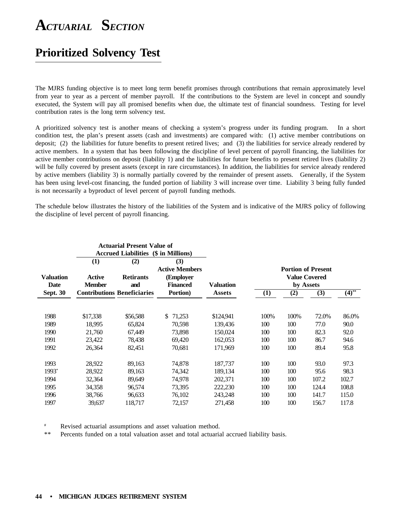### **Prioritized Solvency Test**

The MJRS funding objective is to meet long term benefit promises through contributions that remain approximately level from year to year as a percent of member payroll. If the contributions to the System are level in concept and soundly executed, the System will pay all promised benefits when due, the ultimate test of financial soundness. Testing for level contribution rates is the long term solvency test.

A prioritized solvency test is another means of checking a system's progress under its funding program. In a short condition test, the plan's present assets (cash and investments) are compared with: (1) active member contributions on deposit; (2) the liabilities for future benefits to present retired lives; and (3) the liabilities for service already rendered by active members. In a system that has been following the discipline of level percent of payroll financing, the liabilities for active member contributions on deposit (liability 1) and the liabilities for future benefits to present retired lives (liability 2) will be fully covered by present assets (except in rare circumstances). In addition, the liabilities for service already rendered by active members (liability 3) is normally partially covered by the remainder of present assets. Generally, if the System has been using level-cost financing, the funded portion of liability 3 will increase over time. Liability 3 being fully funded is not necessarily a byproduct of level percent of payroll funding methods.

The schedule below illustrates the history of the liabilities of the System and is indicative of the MJRS policy of following the discipline of level percent of payroll financing.

|                  |               | <b>Actuarial Present Value of</b><br><b>Accrued Liabilities (\$ in Millions)</b> |                       |               |      |      |                           |          |
|------------------|---------------|----------------------------------------------------------------------------------|-----------------------|---------------|------|------|---------------------------|----------|
|                  | $\bf(1)$      | (2)                                                                              | (3)                   |               |      |      |                           |          |
|                  |               |                                                                                  | <b>Active Members</b> |               |      |      | <b>Portion of Present</b> |          |
| <b>Valuation</b> | <b>Active</b> | <b>Retirants</b>                                                                 | (Employer             |               |      |      | <b>Value Covered</b>      |          |
| Date             | <b>Member</b> | and                                                                              | <b>Financed</b>       | Valuation     |      |      | by Assets                 |          |
| <b>Sept. 30</b>  |               | <b>Contributions Beneficiaries</b>                                               | Portion)              | <b>Assets</b> | (1)  | (2)  | (3)                       | $(4)$ ** |
|                  |               |                                                                                  |                       |               |      |      |                           |          |
| 1988             | \$17,338      | \$56,588                                                                         | 71,253<br>\$          | \$124,941     | 100% | 100% | 72.0%                     | 86.0%    |
| 1989             | 18,995        | 65,824                                                                           | 70,598                | 139,436       | 100  | 100  | 77.0                      | 90.0     |
| 1990             | 21,760        | 67,449                                                                           | 73,898                | 150,024       | 100  | 100  | 82.3                      | 92.0     |
| 1991             | 23,422        | 78,438                                                                           | 69,420                | 162,053       | 100  | 100  | 86.7                      | 94.6     |
| 1992             | 26,364        | 82,451                                                                           | 70,681                | 171,969       | 100  | 100  | 89.4                      | 95.8     |
|                  |               |                                                                                  |                       |               |      |      |                           |          |
| 1993             | 28,922        | 89,163                                                                           | 74,878                | 187,737       | 100  | 100  | 93.0                      | 97.3     |
| 1993*            | 28,922        | 89,163                                                                           | 74,342                | 189,134       | 100  | 100  | 95.6                      | 98.3     |
| 1994             | 32,364        | 89,649                                                                           | 74,978                | 202,371       | 100  | 100  | 107.2                     | 102.7    |
| 1995             | 34,358        | 96,574                                                                           | 73,395                | 222,230       | 100  | 100  | 124.4                     | 108.8    |
| 1996             | 38,766        | 96,633                                                                           | 76,102                | 243,248       | 100  | 100  | 141.7                     | 115.0    |
| 1997             | 39,637        | 118,717                                                                          | 72,157                | 271,458       | 100  | 100  | 156.7                     | 117.8    |

Revised actuarial assumptions and asset valuation method.

\*\* Percents funded on a total valuation asset and total actuarial accrued liability basis.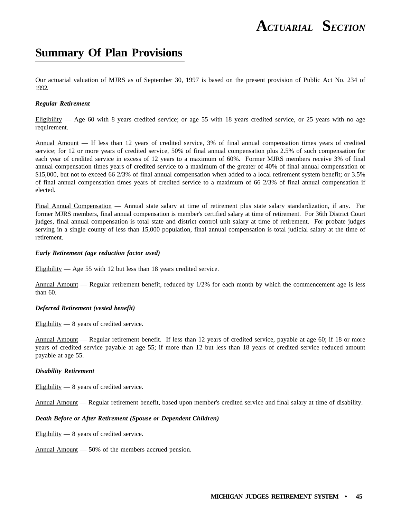### **Summary Of Plan Provisions**

Our actuarial valuation of MJRS as of September 30, 1997 is based on the present provision of Public Act No. 234 of 1992.

#### *Regular Retirement*

Eligibility — Age 60 with 8 years credited service; or age 55 with 18 years credited service, or 25 years with no age requirement.

Annual Amount - If less than 12 years of credited service, 3% of final annual compensation times years of credited service; for 12 or more years of credited service, 50% of final annual compensation plus 2.5% of such compensation for each year of credited service in excess of 12 years to a maximum of 60%. Former MJRS members receive 3% of final annual compensation times years of credited service to a maximum of the greater of 40% of final annual compensation or \$15,000, but not to exceed 66 2/3% of final annual compensation when added to a local retirement system benefit; or 3.5% of final annual compensation times years of credited service to a maximum of 66 2/3% of final annual compensation if elected.

Final Annual Compensation — Annual state salary at time of retirement plus state salary standardization, if any. For former MJRS members, final annual compensation is member's certified salary at time of retirement. For 36th District Court judges, final annual compensation is total state and district control unit salary at time of retirement. For probate judges serving in a single county of less than 15,000 population, final annual compensation is total judicial salary at the time of retirement.

#### *Early Retirement (age reduction factor used)*

Eligibility — Age 55 with 12 but less than 18 years credited service.

Annual Amount — Regular retirement benefit, reduced by 1/2% for each month by which the commencement age is less than 60.

#### *Deferred Retirement (vested benefit)*

Eligibility — 8 years of credited service.

Annual Amount — Regular retirement benefit. If less than 12 years of credited service, payable at age 60; if 18 or more years of credited service payable at age 55; if more than 12 but less than 18 years of credited service reduced amount payable at age 55.

### *Disability Retirement*

Eligibility — 8 years of credited service.

Annual Amount — Regular retirement benefit, based upon member's credited service and final salary at time of disability.

### *Death Before or After Retirement (Spouse or Dependent Children)*

Eligibility — 8 years of credited service.

Annual Amount — 50% of the members accrued pension.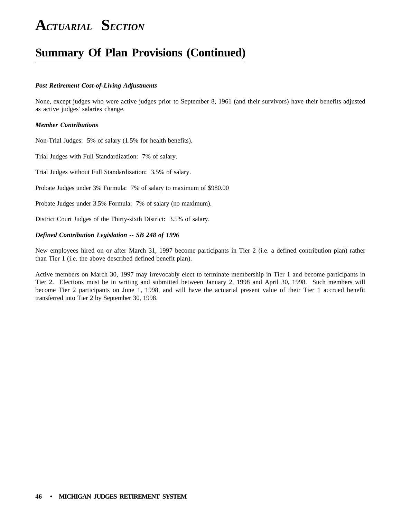### **Summary Of Plan Provisions (Continued)**

#### *Post Retirement Cost-of-Living Adjustments*

None, except judges who were active judges prior to September 8, 1961 (and their survivors) have their benefits adjusted as active judges' salaries change.

### *Member Contributions*

Non-Trial Judges: 5% of salary (1.5% for health benefits).

Trial Judges with Full Standardization: 7% of salary.

Trial Judges without Full Standardization: 3.5% of salary.

Probate Judges under 3% Formula: 7% of salary to maximum of \$980.00

Probate Judges under 3.5% Formula: 7% of salary (no maximum).

District Court Judges of the Thirty-sixth District: 3.5% of salary.

### *Defined Contribution Legislation -- SB 248 of 1996*

New employees hired on or after March 31, 1997 become participants in Tier 2 (i.e. a defined contribution plan) rather than Tier 1 (i.e*.* the above described defined benefit plan).

Active members on March 30, 1997 may irrevocably elect to terminate membership in Tier 1 and become participants in Tier 2. Elections must be in writing and submitted between January 2, 1998 and April 30, 1998. Such members will become Tier 2 participants on June 1, 1998, and will have the actuarial present value of their Tier 1 accrued benefit transferred into Tier 2 by September 30, 1998.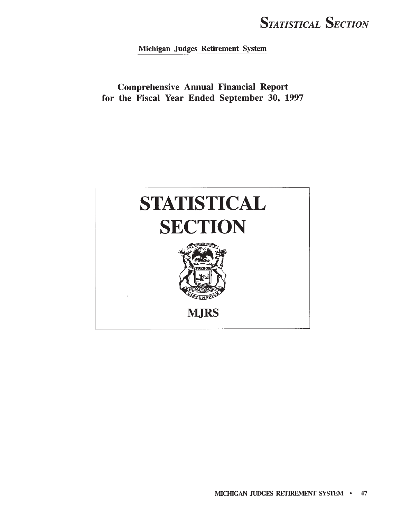Michigan Judges Retirement System

**Comprehensive Annual Financial Report** for the Fiscal Year Ended September 30, 1997

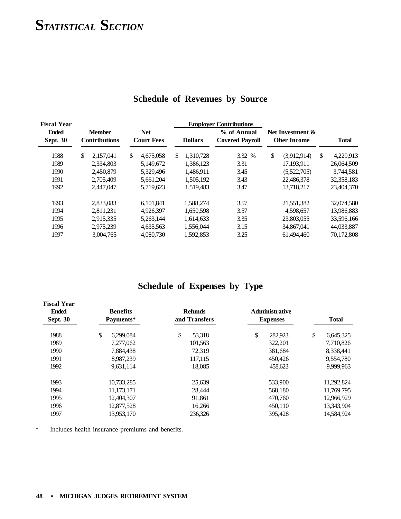| <b>Fiscal Year</b>              |                                       |                                 |                            | <b>Employer Contributions</b>         |                                        |                 |
|---------------------------------|---------------------------------------|---------------------------------|----------------------------|---------------------------------------|----------------------------------------|-----------------|
| <b>Ended</b><br><b>Sept. 30</b> | <b>Member</b><br><b>Contributions</b> | <b>Net</b><br><b>Court Fees</b> | <b>Dollars</b>             | % of Annual<br><b>Covered Payroll</b> | Net Investment &<br><b>Oher Income</b> | <b>Total</b>    |
| 1988                            | \$<br>2.157.041                       | \$<br>4.675.058                 | <sup>\$</sup><br>1.310.728 | 3.32 %                                | \$<br>(3,912,914)                      | \$<br>4,229,913 |
| 1989                            | 2.334,803                             | 5.149.672                       | 1.386.123                  | 3.31                                  | 17.193.911                             | 26,064,509      |
| 1990                            | 2,450,879                             | 5,329,496                       | 1,486,911                  | 3.45                                  | (5,522,705)                            | 3,744,581       |
| 1991                            | 2,705,409                             | 5,661,204                       | 1,505,192                  | 3.43                                  | 22,486,378                             | 32, 358, 183    |
| 1992                            | 2.447.047                             | 5,719,623                       | 1.519.483                  | 3.47                                  | 13,718,217                             | 23,404,370      |
| 1993                            | 2,833,083                             | 6.101.841                       | 1.588.274                  | 3.57                                  | 21,551,382                             | 32,074,580      |
| 1994                            | 2,811,231                             | 4.926.397                       | 1.650.598                  | 3.57                                  | 4.598.657                              | 13,986,883      |
| 1995                            | 2,915,335                             | 5,263,144                       | 1,614,633                  | 3.35                                  | 23,803,055                             | 33,596,166      |
| 1996                            | 2,975,239                             | 4,635,563                       | 1,556,044                  | 3.15                                  | 34,867,041                             | 44,033,887      |
| 1997                            | 3,004,765                             | 4,080,730                       | 1,592,853                  | 3.25                                  | 61,494,460                             | 70,172,808      |

### **Schedule of Revenues by Source**

### **Schedule of Expenses by Type**

| <b>Fiscal Year</b><br><b>Ended</b><br><b>Sept. 30</b> | <b>Benefits</b><br>Payments* | <b>Refunds</b><br>and Transfers | <b>Administrative</b><br><b>Expenses</b> | <b>Total</b>    |
|-------------------------------------------------------|------------------------------|---------------------------------|------------------------------------------|-----------------|
| 1988                                                  | \$<br>6.299.084              | \$<br>53,318                    | \$<br>282,923                            | \$<br>6,645,325 |
| 1989                                                  | 7.277.062                    | 101,563                         | 322,201                                  | 7,710,826       |
| 1990                                                  | 7,884,438                    | 72,319                          | 381,684                                  | 8,338,441       |
| 1991                                                  | 8,987,239                    | 117,115                         | 450,426                                  | 9,554,780       |
| 1992                                                  | 9,631,114                    | 18,085                          | 458,623                                  | 9.999.963       |
| 1993                                                  | 10,733,285                   | 25,639                          | 533,900                                  | 11,292,824      |
| 1994                                                  | 11,173,171                   | 28,444                          | 568,180                                  | 11,769,795      |
| 1995                                                  | 12,404,307                   | 91,861                          | 470,760                                  | 12,966,929      |
| 1996                                                  | 12,877,528                   | 16,266                          | 450,110                                  | 13,343,904      |
| 1997                                                  | 13,953,170                   | 236,326                         | 395,428                                  | 14,584,924      |

\* Includes health insurance premiums and benefits.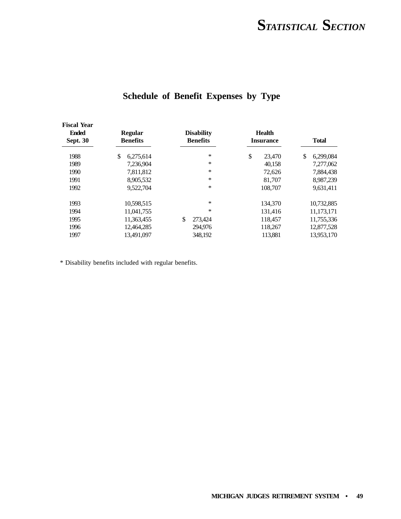| <b>Fiscal Year</b><br><b>Ended</b><br><b>Sept. 30</b> | <b>Regular</b><br><b>Benefits</b> | <b>Disability</b><br><b>Benefits</b> | <b>Health</b><br><b>Insurance</b> | <b>Total</b>    |
|-------------------------------------------------------|-----------------------------------|--------------------------------------|-----------------------------------|-----------------|
| 1988                                                  | \$<br>6,275,614                   | *                                    | \$<br>23,470                      | \$<br>6,299,084 |
| 1989                                                  | 7.236.904                         | ∗                                    | 40,158                            | 7,277,062       |
| 1990                                                  | 7,811,812                         | *                                    | 72,626                            | 7,884,438       |
| 1991                                                  | 8,905,532                         | ∗                                    | 81,707                            | 8,987,239       |
| 1992                                                  | 9,522,704                         | *                                    | 108,707                           | 9,631,411       |
| 1993                                                  | 10,598,515                        | *                                    | 134,370                           | 10,732,885      |
| 1994                                                  | 11,041,755                        | *                                    | 131,416                           | 11, 173, 171    |
| 1995                                                  | 11,363,455                        | \$<br>273,424                        | 118,457                           | 11,755,336      |
| 1996                                                  | 12,464,285                        | 294,976                              | 118,267                           | 12,877,528      |
| 1997                                                  | 13.491.097                        | 348.192                              | 113,881                           | 13.953.170      |

### **Schedule of Benefit Expenses by Type**

\* Disability benefits included with regular benefits.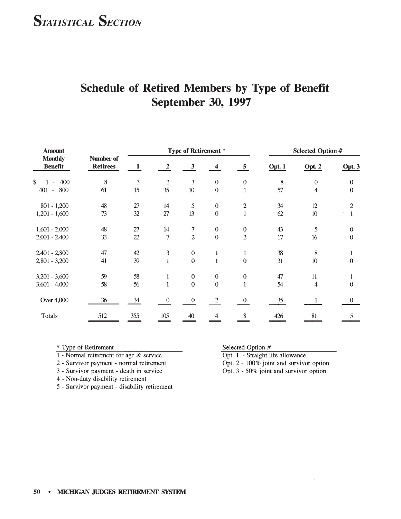| <b>Amount</b>                    |                              | Type of Retirement * |                  |                  |                  | <b>Selected Option #</b> |         |                         |                  |
|----------------------------------|------------------------------|----------------------|------------------|------------------|------------------|--------------------------|---------|-------------------------|------------------|
| <b>Monthly</b><br><b>Benefit</b> | Number of<br><b>Retirees</b> | 1                    | $\boldsymbol{2}$ | $\mathbf{3}$     | 4                | $5\overline{5}$          | Opt. 1  | Opt. 2                  | Opt. 3           |
| \$<br>$1 - 400$                  | 8                            | 3                    | $\overline{2}$   | 3                | $\mathbf{0}$     | $\boldsymbol{0}$         | 8       | $\boldsymbol{0}$        | $\boldsymbol{0}$ |
| 401 - 800                        | 61                           | 15                   | 35               | 10               | $\mathbf{0}$     | $\mathbf{1}$             | 57      | $\overline{\mathbf{4}}$ | $\boldsymbol{0}$ |
| $801 - 1,200$                    | 48                           | 27                   | 14               | 5                | $\boldsymbol{0}$ | $\overline{c}$           | 34      | 12                      | $\overline{c}$   |
| $1,201 - 1,600$                  | 73                           | 32                   | 27               | 13               | $\theta$         | $\mathbf{1}$             | 62<br>٠ | 10                      | 1                |
| $1,601 - 2,000$                  | 48                           | 27                   | 14               | 7                | $\mathbf{0}$     | $\boldsymbol{0}$         | 43      | 5                       | $\mathbf{0}$     |
| $2,001 - 2,400$                  | 33                           | $\mathfrak{D}$       | $\overline{7}$   | $\overline{2}$   | $\boldsymbol{0}$ | $\overline{2}$           | 17      | 16                      | $\boldsymbol{0}$ |
| $2,401 - 2,800$                  | 47                           | 42                   | $\mathfrak{Z}$   | $\boldsymbol{0}$ | 1                | 1                        | 38      | 8                       | $\mathbf{1}$     |
| $2,801 - 3,200$                  | 41                           | 39                   | $\mathbf{1}$     | $\mathbf{0}$     | $\mathbf{1}$     | $\mathbf{0}$             | 31      | 10                      | $\mathbf{0}$     |
| $3,201 - 3,600$                  | 59                           | 58                   | 1                | $\boldsymbol{0}$ | $\boldsymbol{0}$ | $\boldsymbol{0}$         | 47      | 11                      | $\mathbf{1}$     |
| $3,601 - 4,000$                  | 58                           | 56                   | 1                | $\theta$         | $\mathbf{0}$     | $\mathbf{1}$             | 54      | 4                       | $\theta$         |
| Over 4,000                       | 36                           | 34                   | $\bf{0}$         | $\boldsymbol{0}$ | $\overline{2}$   | $\mathbf{0}$             | $35\,$  |                         | $\theta$         |
| Totals                           | 512                          | 355                  | 105              | 40               | 4                | 8                        | 426     | 81                      | 5                |

### Schedule of Retired Members by Type of Benefit September 30, 1997

\* Type of Retirement

- 1 Normal retirement for age  $&$  service
- 2 Survivor payment normal retirement
- 3 Survivor payment death in service
- 4 Non-duty disability retirement
- 5 Survivor payment disability retirement

Selected Option #

Opt. 1. - Straight life allowance

Opt. 2 - 100% joint and survivor option

Opt. 3 - 50% joint and survivor option